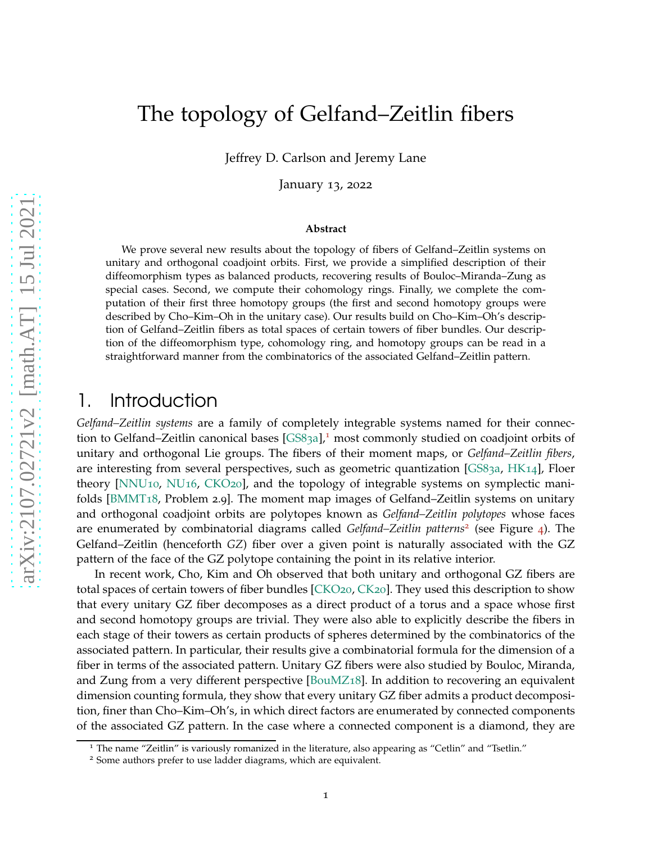# The topology of Gelfand–Zeitlin fibers

Jeffrey D. Carlson and Jeremy Lane

January 13, 2022

#### **Abstract**

We prove several new results about the topology of fibers of Gelfand–Zeitlin systems on unitary and orthogonal coadjoint orbits. First, we provide a simplified description of their diffeomorphism types as balanced products, recovering results of Bouloc–Miranda–Zung as special cases. Second, we compute their cohomology rings. Finally, we complete the computation of their first three homotopy groups (the first and second homotopy groups were described by Cho–Kim–Oh in the unitary case). Our results build on Cho–Kim–Oh's description of Gelfand–Zeitlin fibers as total spaces of certain towers of fiber bundles. Our description of the diffeomorphism type, cohomology ring, and homotopy groups can be read in a straightforward manner from the combinatorics of the associated Gelfand–Zeitlin pattern.

# 1. Introduction

*Gelfand–Zeitlin systems* are a family of completely integrable systems named for their connec-tion to Gelfand–Zeitlin canonical bases [\[GS](#page-28-0)83a],<sup>[1](#page-0-0)</sup> most commonly studied on coadjoint orbits of unitary and orthogonal Lie groups. The fibers of their moment maps, or *Gelfand–Zeitlin fibers*, are interesting from several perspectives, such as geometric quantization [\[GS](#page-28-0)83a, [HK](#page-28-1)14], Floer theory [\[NNU](#page-29-0)10, [NU](#page-29-1)16, [CKO](#page-28-2)20], and the topology of integrable systems on symplectic manifolds [\[BMMT](#page-28-3)18, Problem 2.9]. The moment map images of Gelfand–Zeitlin systems on unitary and orthogonal coadjoint orbits are polytopes known as *Gelfand–Zeitlin polytopes* whose faces are enumerated by combinatorial diagrams called *Gelfand–Zeitlin patterns*[2](#page-0-1) (see Figure [4](#page-3-0)). The Gelfand–Zeitlin (henceforth *GZ*) fiber over a given point is naturally associated with the GZ pattern of the face of the GZ polytope containing the point in its relative interior.

In recent work, Cho, Kim and Oh observed that both unitary and orthogonal GZ fibers are total spaces of certain towers of fiber bundles [\[CKO](#page-28-2)20, [CK](#page-28-4)20]. They used this description to show that every unitary GZ fiber decomposes as a direct product of a torus and a space whose first and second homotopy groups are trivial. They were also able to explicitly describe the fibers in each stage of their towers as certain products of spheres determined by the combinatorics of the associated pattern. In particular, their results give a combinatorial formula for the dimension of a fiber in terms of the associated pattern. Unitary GZ fibers were also studied by Bouloc, Miranda, and Zung from a very different perspective [\[BouMZ](#page-28-5)18]. In addition to recovering an equivalent dimension counting formula, they show that every unitary GZ fiber admits a product decomposition, finer than Cho–Kim–Oh's, in which direct factors are enumerated by connected components of the associated GZ pattern. In the case where a connected component is a diamond, they are

<sup>&</sup>lt;sup>1</sup> The name "Zeitlin" is variously romanized in the literature, also appearing as "Cetlin" and "Tsetlin."

<span id="page-0-1"></span><span id="page-0-0"></span><sup>2</sup> Some authors prefer to use ladder diagrams, which are equivalent.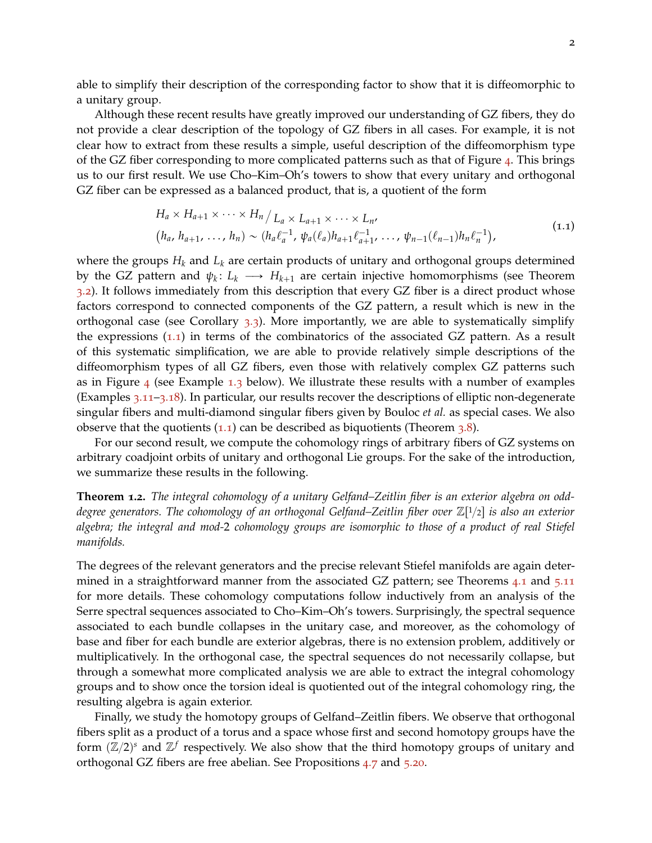able to simplify their description of the corresponding factor to show that it is diffeomorphic to a unitary group.

Although these recent results have greatly improved our understanding of GZ fibers, they do not provide a clear description of the topology of GZ fibers in all cases. For example, it is not clear how to extract from these results a simple, useful description of the diffeomorphism type of the GZ fiber corresponding to more complicated patterns such as that of Figure  $\alpha$ . This brings us to our first result. We use Cho–Kim–Oh's towers to show that every unitary and orthogonal GZ fiber can be expressed as a balanced product, that is, a quotient of the form

$$
H_a \times H_{a+1} \times \cdots \times H_n / L_a \times L_{a+1} \times \cdots \times L_{n'}
$$
  
\n
$$
(h_a, h_{a+1}, \ldots, h_n) \sim (h_a \ell_a^{-1}, \psi_a(\ell_a) h_{a+1} \ell_{a+1}^{-1}, \ldots, \psi_{n-1}(\ell_{n-1}) h_n \ell_n^{-1}),
$$
\n(1.1)

<span id="page-1-0"></span>where the groups  $H_k$  and  $L_k$  are certain products of unitary and orthogonal groups determined by the GZ pattern and  $\psi_k\colon L_k\longrightarrow H_{k+1}$  are certain injective homomorphisms (see Theorem [3](#page-11-0).2). It follows immediately from this description that every GZ fiber is a direct product whose factors correspond to connected components of the GZ pattern, a result which is new in the orthogonal case (see Corollary  $3.3$  $3.3$ ). More importantly, we are able to systematically simplify the expressions  $(1.1)$  $(1.1)$  $(1.1)$  in terms of the combinatorics of the associated GZ pattern. As a result of this systematic simplification, we are able to provide relatively simple descriptions of the diffeomorphism types of all GZ fibers, even those with relatively complex GZ patterns such as in Figure  $_4$  $_4$  (see Example [1](#page-1-1).3 below). We illustrate these results with a number of examples (Examples 3.[11](#page-14-0)–3.[18](#page-15-0)). In particular, our results recover the descriptions of elliptic non-degenerate singular fibers and multi-diamond singular fibers given by Bouloc *et al.* as special cases. We also observe that the quotients  $(1.1)$  $(1.1)$  $(1.1)$  can be described as biquotients (Theorem [3](#page-13-0).8).

For our second result, we compute the cohomology rings of arbitrary fibers of GZ systems on arbitrary coadjoint orbits of unitary and orthogonal Lie groups. For the sake of the introduction, we summarize these results in the following.

**Theorem 1.2.** *The integral cohomology of a unitary Gelfand–Zeitlin fiber is an exterior algebra on odd*degree generators. The cohomology of an orthogonal Gelfand–Zeitlin fiber over Z[<sup>1</sup>/2] is also an exterior *algebra; the integral and mod-*2 *cohomology groups are isomorphic to those of a product of real Stiefel manifolds.*

The degrees of the relevant generators and the precise relevant Stiefel manifolds are again determined in a straightforward manner from the associated GZ pattern; see Theorems [4](#page-16-0).1 and 5.[11](#page-22-0) for more details. These cohomology computations follow inductively from an analysis of the Serre spectral sequences associated to Cho–Kim–Oh's towers. Surprisingly, the spectral sequence associated to each bundle collapses in the unitary case, and moreover, as the cohomology of base and fiber for each bundle are exterior algebras, there is no extension problem, additively or multiplicatively. In the orthogonal case, the spectral sequences do not necessarily collapse, but through a somewhat more complicated analysis we are able to extract the integral cohomology groups and to show once the torsion ideal is quotiented out of the integral cohomology ring, the resulting algebra is again exterior.

<span id="page-1-1"></span>Finally, we study the homotopy groups of Gelfand–Zeitlin fibers. We observe that orthogonal fibers split as a product of a torus and a space whose first and second homotopy groups have the form  $(\mathbb{Z}/2)^s$  and  $\mathbb{Z}^f$  respectively. We also show that the third homotopy groups of unitary and orthogonal GZ fibers are free abelian. See Propositions [4](#page-19-0).7 and 5.[20](#page-27-0).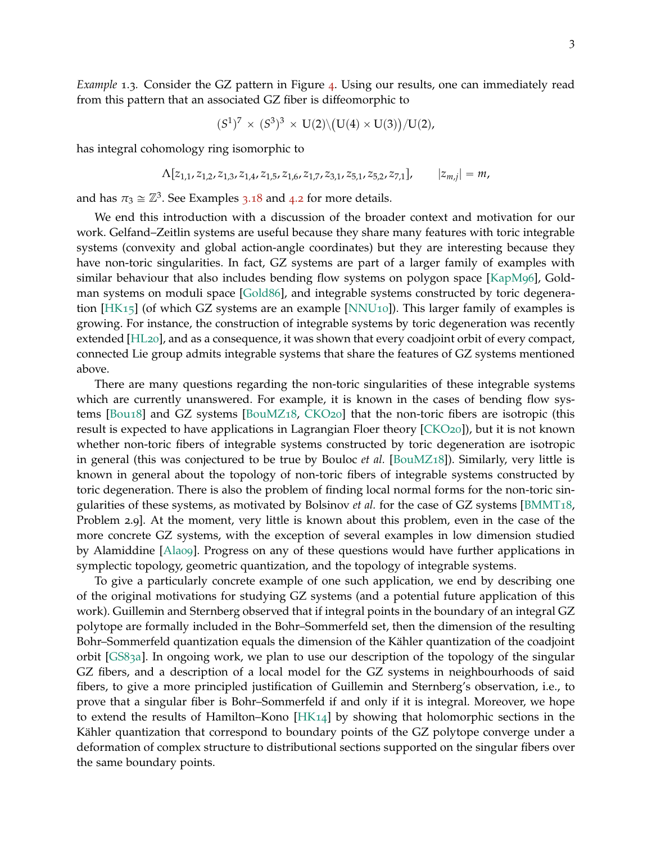*Example* 1.3*.* Consider the GZ pattern in Figure [4](#page-3-0). Using our results, one can immediately read from this pattern that an associated GZ fiber is diffeomorphic to

$$
(S^1)^7 \times (S^3)^3 \times U(2) \backslash (U(4) \times U(3)) / U(2),
$$

has integral cohomology ring isomorphic to

$$
\Lambda[z_{1,1}, z_{1,2}, z_{1,3}, z_{1,4}, z_{1,5}, z_{1,6}, z_{1,7}, z_{3,1}, z_{5,1}, z_{5,2}, z_{7,1}], \qquad |z_{m,j}| = m,
$$

and has  $\pi_3 \cong \mathbb{Z}^3$ . See Examples 3.[18](#page-15-0) and [4](#page-16-1).2 for more details.

We end this introduction with a discussion of the broader context and motivation for our work. Gelfand–Zeitlin systems are useful because they share many features with toric integrable systems (convexity and global action-angle coordinates) but they are interesting because they have non-toric singularities. In fact, GZ systems are part of a larger family of examples with similar behaviour that also includes bending flow systems on polygon space [\[KapM](#page-29-2)96], Goldman systems on moduli space [\[Gold](#page-28-6)86], and integrable systems constructed by toric degeneration [\[HK](#page-28-7)15] (of which GZ systems are an example [\[NNU](#page-29-0)10]). This larger family of examples is growing. For instance, the construction of integrable systems by toric degeneration was recently extended [\[HL](#page-28-8)20], and as a consequence, it was shown that every coadjoint orbit of every compact, connected Lie group admits integrable systems that share the features of GZ systems mentioned above.

There are many questions regarding the non-toric singularities of these integrable systems which are currently unanswered. For example, it is known in the cases of bending flow systems [\[Bou](#page-28-9)18] and GZ systems [\[BouMZ](#page-28-5)18, [CKO](#page-28-2)20] that the non-toric fibers are isotropic (this result is expected to have applications in Lagrangian Floer theory [\[CKO](#page-28-2)20]), but it is not known whether non-toric fibers of integrable systems constructed by toric degeneration are isotropic in general (this was conjectured to be true by Bouloc *et al.* [\[BouMZ](#page-28-5)18]). Similarly, very little is known in general about the topology of non-toric fibers of integrable systems constructed by toric degeneration. There is also the problem of finding local normal forms for the non-toric singularities of these systems, as motivated by Bolsinov *et al.* for the case of GZ systems [\[BMMT](#page-28-3)18, Problem 2.9]. At the moment, very little is known about this problem, even in the case of the more concrete GZ systems, with the exception of several examples in low dimension studied by Alamiddine [\[Ala](#page-28-10)09]. Progress on any of these questions would have further applications in symplectic topology, geometric quantization, and the topology of integrable systems.

To give a particularly concrete example of one such application, we end by describing one of the original motivations for studying GZ systems (and a potential future application of this work). Guillemin and Sternberg observed that if integral points in the boundary of an integral GZ polytope are formally included in the Bohr–Sommerfeld set, then the dimension of the resulting Bohr–Sommerfeld quantization equals the dimension of the Kähler quantization of the coadjoint orbit [\[GS](#page-28-0)83a]. In ongoing work, we plan to use our description of the topology of the singular GZ fibers, and a description of a local model for the GZ systems in neighbourhoods of said fibers, to give a more principled justification of Guillemin and Sternberg's observation, i.e., to prove that a singular fiber is Bohr–Sommerfeld if and only if it is integral. Moreover, we hope to extend the results of Hamilton–Kono [\[HK](#page-28-1)14] by showing that holomorphic sections in the Kähler quantization that correspond to boundary points of the GZ polytope converge under a deformation of complex structure to distributional sections supported on the singular fibers over the same boundary points.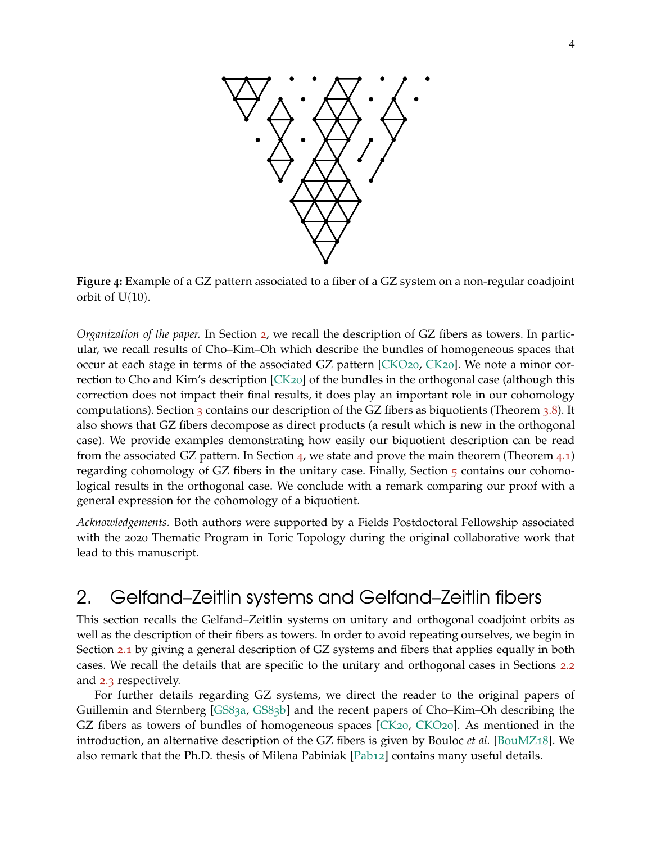<span id="page-3-0"></span>

**Figure 4:** Example of a GZ pattern associated to a fiber of a GZ system on a non-regular coadjoint orbit of  $U(10)$ .

*Organization of the paper.* In Section [2](#page-3-1), we recall the description of GZ fibers as towers. In particular, we recall results of Cho–Kim–Oh which describe the bundles of homogeneous spaces that occur at each stage in terms of the associated GZ pattern [\[CKO](#page-28-2)20, [CK](#page-28-4)20]. We note a minor correction to Cho and Kim's description [\[CK](#page-28-4)20] of the bundles in the orthogonal case (although this correction does not impact their final results, it does play an important role in our cohomology computations). Section [3](#page-13-0) contains our description of the GZ fibers as biquotients (Theorem 3.8). It also shows that GZ fibers decompose as direct products (a result which is new in the orthogonal case). We provide examples demonstrating how easily our biquotient description can be read from the associated GZ pattern. In Section [4](#page-16-0), we state and prove the main theorem (Theorem  $(4.1)$ ) regarding cohomology of GZ fibers in the unitary case. Finally, Section [5](#page-19-1) contains our cohomological results in the orthogonal case. We conclude with a remark comparing our proof with a general expression for the cohomology of a biquotient.

*Acknowledgements.* Both authors were supported by a Fields Postdoctoral Fellowship associated with the 2020 Thematic Program in Toric Topology during the original collaborative work that lead to this manuscript.

# <span id="page-3-1"></span>2. Gelfand–Zeitlin systems and Gelfand–Zeitlin fibers

This section recalls the Gelfand–Zeitlin systems on unitary and orthogonal coadjoint orbits as well as the description of their fibers as towers. In order to avoid repeating ourselves, we begin in Section [2](#page-4-0).1 by giving a general description of GZ systems and fibers that applies equally in both cases. We recall the details that are specific to the unitary and orthogonal cases in Sections [2](#page-6-0).2 and [2](#page-8-0).3 respectively.

For further details regarding GZ systems, we direct the reader to the original papers of Guillemin and Sternberg [\[GS](#page-28-0)83a, [GS](#page-28-11)83b] and the recent papers of Cho–Kim–Oh describing the GZ fibers as towers of bundles of homogeneous spaces  $[CK20, CKO20]$  $[CK20, CKO20]$  $[CK20, CKO20]$ . As mentioned in the introduction, an alternative description of the GZ fibers is given by Bouloc *et al.* [\[BouMZ](#page-28-5)18]. We also remark that the Ph.D. thesis of Milena Pabiniak [\[Pab](#page-29-3)12] contains many useful details.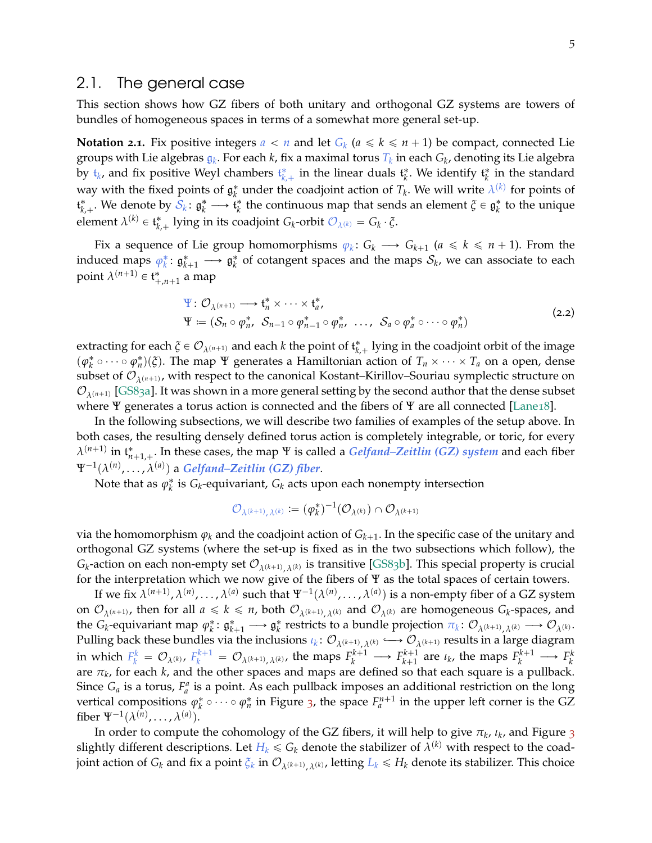#### <span id="page-4-0"></span>2.1. The general case

This section shows how GZ fibers of both unitary and orthogonal GZ systems are towers of bundles of homogeneous spaces in terms of a somewhat more general set-up.

**Notation 2.1.** Fix positive integers  $a < n$  and let  $G_k$   $(a \leq k \leq n+1)$  be compact, connected Lie groups with Lie algebras g*<sup>k</sup>* . For each *k*, fix a maximal torus *T<sup>k</sup>* in each *G<sup>k</sup>* , denoting its Lie algebra by  $\mathfrak{t}_k$ , and fix positive Weyl chambers  $\mathfrak{t}_{k,+}^*$  in the linear duals  $\mathfrak{t}_k^*$ . We identify  $\mathfrak{t}_k^*$  in the standard way with the fixed points of  $\mathfrak{g}_k^*$  under the coadjoint action of  $T_k$ . We will write  $\lambda^{(k)}$  for points of  $\mathfrak{t}^*_{k,+}$ . We denote by  $\mathcal{S}_k: \mathfrak{g}^*_k \longrightarrow \widetilde{\mathfrak{t}}^*_k$  the continuous map that sends an element  $\tilde{\zeta} \in \mathfrak{g}^*_k$  to the unique element  $\lambda^{(k)} \in \mathfrak{t}_{k,+}^*$  lying in its coadjoint  $G_k$ -orbit  $\mathcal{O}_{\lambda^{(k)}} = G_k \cdot \xi$ .

Fix a sequence of Lie group homomorphisms  $\varphi_k: G_k \longrightarrow G_{k+1}$  ( $a \le k \le n+1$ ). From the induced maps  $\varphi_k^* \colon \mathfrak{g}_{k+1}^* \longrightarrow \mathfrak{g}_k^*$  of cotangent spaces and the maps  $\mathcal{S}_k$ , we can associate to each point  $\lambda^{(n+1)} \in \mathfrak{t}_{+,n+1}^*$  a map

$$
\Psi: \mathcal{O}_{\lambda^{(n+1)}} \longrightarrow \mathfrak{t}_n^* \times \cdots \times \mathfrak{t}_a^*,
$$
  
\n
$$
\Psi := (\mathcal{S}_n \circ \varphi_n^*, \ \mathcal{S}_{n-1} \circ \varphi_{n-1}^* \circ \varphi_n^*, \ \ldots, \ \mathcal{S}_a \circ \varphi_a^* \circ \cdots \circ \varphi_n^*)
$$
\n(2.2)

<span id="page-4-1"></span>extracting for each  $\xi \in \mathcal{O}_{\lambda^{(n+1)}}$  and each *k* the point of  $\mathfrak{t}_{k,+}^*$  lying in the coadjoint orbit of the image  $(\varphi_k^* \circ \cdots \circ \varphi_n^*)(\xi)$ . The map  $\Psi$  generates a Hamiltonian action of  $T_n \times \cdots \times T_a$  on a open, dense subset of  $\mathcal{O}_{\lambda^{(n+1)}}$ , with respect to the canonical Kostant–Kirillov–Souriau symplectic structure on  $\mathcal{O}_{\lambda^{(n+1)}}$  [\[GS](#page-28-0)83a]. It was shown in a more general setting by the second author that the dense subset where Ψ generates a torus action is connected and the fibers of Ψ are all connected [\[Lane](#page-29-4)18].

In the following subsections, we will describe two families of examples of the setup above. In both cases, the resulting densely defined torus action is completely integrable, or toric, for every  $\lambda^{(n+1)}$  in  $\mathfrak{t}_{n+1,+}^*$ . In these cases, the map Ψ is called a *Gelfand–Zeitlin (GZ) system* and each fiber  $\Psi^{-1}(\lambda^{(n)},\ldots,\lambda^{(a)})$  a *Gelfand–Zeitlin (GZ) fiber*.

Note that as  $\varphi_k^*$  is  $G_k$ -equivariant,  $G_k$  acts upon each nonempty intersection

$$
\mathcal{O}_{\boldsymbol{\lambda}^{(k+1)}, \boldsymbol{\lambda}^{(k)}} := (\varphi_k^*)^{-1}(\mathcal{O}_{\boldsymbol{\lambda}^{(k)}}) \cap \mathcal{O}_{\boldsymbol{\lambda}^{(k+1)}}
$$

via the homomorphism  $\varphi_k$  and the coadjoint action of  $G_{k+1}.$  In the specific case of the unitary and orthogonal GZ systems (where the set-up is fixed as in the two subsections which follow), the  $G_k$ -action on each non-empty set  $\mathcal{O}_{\lambda^{(k+1)}, \lambda^{(k)}}$  is transitive [\[GS](#page-28-11)83b]. This special property is crucial for the interpretation which we now give of the fibers of Ψ as the total spaces of certain towers.

If we fix  $\lambda^{(n+1)}$ ,  $\lambda^{(n)}$ , . . . ,  $\lambda^{(a)}$  such that  $\Psi^{-1}(\lambda^{(n)},\ldots,\lambda^{(a)})$  is a non-empty fiber of a GZ system on  $\mathcal{O}_{\lambda^{(n+1)}}$ , then for all  $a \leq k \leq n$ , both  $\mathcal{O}_{\lambda^{(k+1)},\lambda^{(k)}}$  and  $\mathcal{O}_{\lambda^{(k)}}$  are homogeneous  $G_k$ -spaces, and  $\iint_{\lambda}^{R} P_{k}$  capacition  $\pi_{k}: \mathcal{O}_{\lambda^{(k+1)}, \lambda^{(k)}} \longrightarrow \mathcal{O}_{\lambda^{(k)}}$ .<br>  $\iint_{\lambda}^{R} P_{k}$  restricts to a bundle projection  $\pi_{k}: \mathcal{O}_{\lambda^{(k+1)}, \lambda^{(k)}} \longrightarrow \mathcal{O}_{\lambda^{(k)}}$ . Pulling back these bundles via the inclusions  $\iota_k: \mathcal{O}_{\lambda^{(k+1)}, \lambda^{(k)}} \longrightarrow \mathcal{O}_{\lambda^{(k+1)}}$  results in a large diagram in which  $F_k^k = \mathcal{O}_{\lambda^{(k)}}$ ,  $F_k^{k+1} = \mathcal{O}_{\lambda^{(k+1)}, \lambda^{(k)}}$ , the maps  $F_k^{k+1} \longrightarrow F_{k+1}^{k+1}$  $k+1$  are  $\iota_k$ , the maps  $F_k^{k+1} \longrightarrow F_k^k$ are *π<sup>k</sup>* , for each *k*, and the other spaces and maps are defined so that each square is a pullback. Since  $G_a$  is a torus,  $F_a^a$  is a point. As each pullback imposes an additional restriction on the long vertical compositions  $\varphi_k^* \circ \cdots \circ \varphi_n^*$  in Figure [3](#page-5-0), the space  $F_a^{n+1}$  in the upper left corner is the GZ fiber  $\Psi^{-1}(\lambda^{(n)}, \ldots, \lambda^{(a)})$ .

In order to compute the cohomology of the GZ fibers, it will help to give  $\pi_k$ ,  $\iota_k$ , and Figure [3](#page-5-0) slightly different descriptions. Let  $H_k \leqslant G_k$  denote the stabilizer of  $\lambda^{(k)}$  with respect to the coadjoint action of  $G_k$  and fix a point  $\zeta_k$  in  $\mathcal{O}_{\lambda^{(k+1)},\lambda^{(k)}}$ , letting  $L_k \leq H_k$  denote its stabilizer. This choice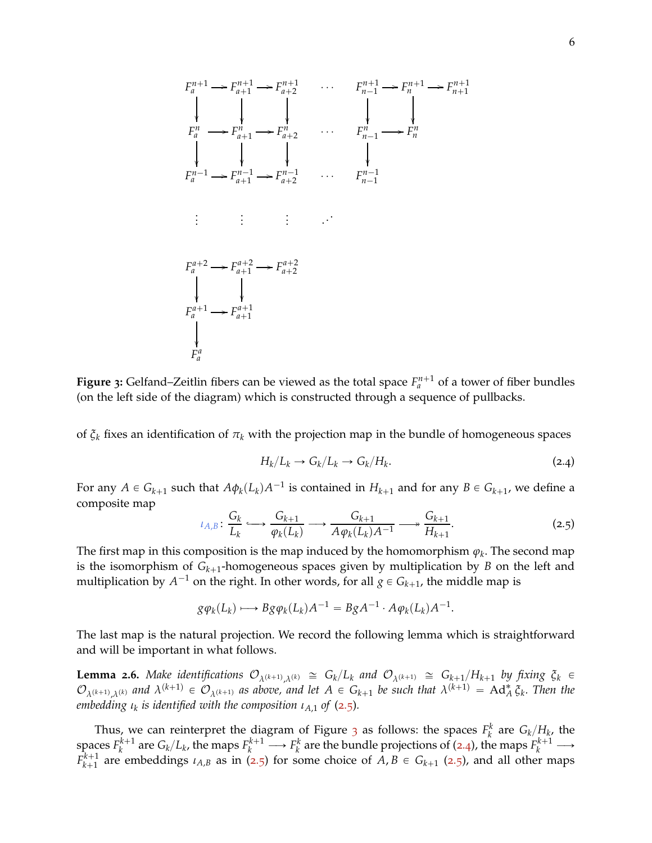<span id="page-5-0"></span>

**Figure** 3: Gelfand–Zeitlin fibers can be viewed as the total space  $F_a^{n+1}$  of a tower of fiber bundles (on the left side of the diagram) which is constructed through a sequence of pullbacks.

of *ξ<sup>k</sup>* fixes an identification of *π<sup>k</sup>* with the projection map in the bundle of homogeneous spaces

<span id="page-5-2"></span>
$$
H_k/L_k \to G_k/L_k \to G_k/H_k. \tag{2.4}
$$

For any  $A \in G_{k+1}$  such that  $A\phi_k(L_k)A^{-1}$  is contained in  $H_{k+1}$  and for any  $B \in G_{k+1}$ , we define a composite map

<span id="page-5-1"></span>
$$
\iota_{A,B} \colon \frac{G_k}{L_k} \longleftrightarrow \frac{G_{k+1}}{\varphi_k(L_k)} \longrightarrow \frac{G_{k+1}}{A\varphi_k(L_k)A^{-1}} \longrightarrow \frac{G_{k+1}}{H_{k+1}}.\tag{2.5}
$$

The first map in this composition is the map induced by the homomorphism  $\varphi_k.$  The second map is the isomorphism of  $G_{k+1}$ -homogeneous spaces given by multiplication by  $B$  on the left and multiplication by  $A^{-1}$  on the right. In other words, for all  $g \in G_{k+1}$ , the middle map is

$$
g\varphi_k(L_k) \longrightarrow Bg\varphi_k(L_k)A^{-1} = BgA^{-1} \cdot A\varphi_k(L_k)A^{-1}.
$$

<span id="page-5-3"></span>The last map is the natural projection. We record the following lemma which is straightforward and will be important in what follows.

**Lemma 2.6.** Make identifications  $\mathcal{O}_{\lambda^{(k+1)},\lambda^{(k)}} \cong G_k/L_k$  and  $\mathcal{O}_{\lambda^{(k+1)}} \cong G_{k+1}/H_{k+1}$  by fixing  $\xi_k \in$  $\mathcal{O}_{\lambda^{(k+1)},\lambda^{(k)}}$  and  $\lambda^{(k+1)} \in \mathcal{O}_{\lambda^{(k+1)}}$  as above, and let  $A \in G_{k+1}$  be such that  $\lambda^{(k+1)} = \operatorname{Ad}_A^* \xi_k$ . Then the *embedding ι<sup>k</sup> is identified with the composition ιA*,1 *of* ([2](#page-5-1).5)*.*

Thus, we can reinterpret the diagram of Figure [3](#page-5-0) as follows: the spaces  $F_k^k$  are  $G_k/H_k$ , the *k* spaces  $F_k^{k+1}$  $g_k^{k+1}$  are  $G_k/L_k$ , the maps  $F_k^{k+1} \longrightarrow F_k^k$  are the bundle projections of ([2](#page-5-2).4), the maps  $F_k^{k+1} \longrightarrow$  $F_{k+1}^{k+1}$  $k+1$  are embeddings  $\iota_{A,B}$  as in ([2](#page-5-1).5) for some choice of  $A, B \in G_{k+1}$  (2.5), and all other maps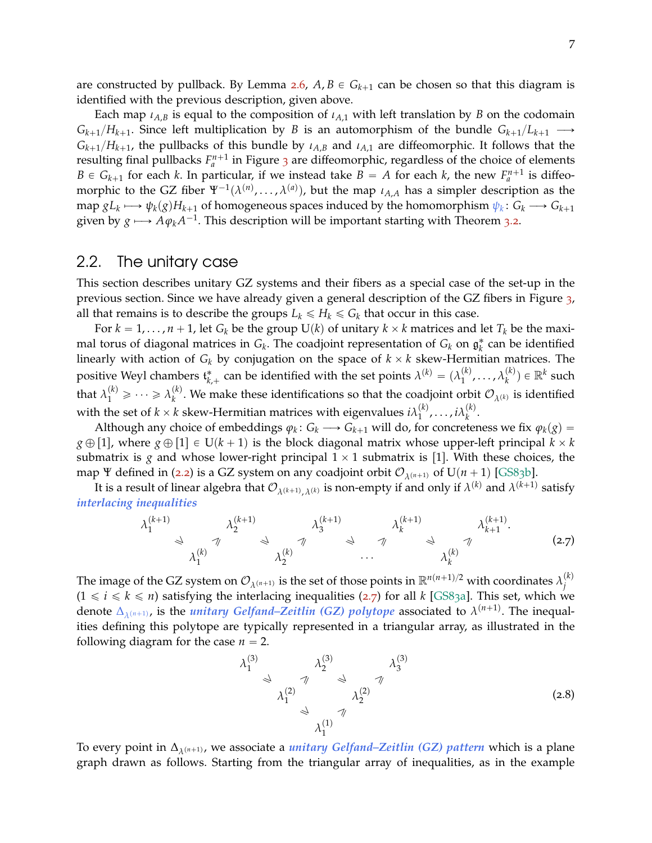are constructed by pullback. By Lemma [2](#page-5-3).6,  $A, B \in G_{k+1}$  can be chosen so that this diagram is identified with the previous description, given above.

Each map  $\iota_{A,B}$  is equal to the composition of  $\iota_{A,1}$  with left translation by *B* on the codomain  $G_{k+1}/H_{k+1}$ . Since left multiplication by *B* is an automorphism of the bundle  $G_{k+1}/L_{k+1} \longrightarrow$  $G_{k+1}/H_{k+1}$ , the pullbacks of this bundle by  $\iota_{A,B}$  and  $\iota_{A,1}$  are diffeomorphic. It follows that the resulting final pullbacks  $F_a^{n+1}$  in Figure [3](#page-5-0) are diffeomorphic, regardless of the choice of elements  $B \in G_{k+1}$  for each *k*. In particular, if we instead take  $B = A$  for each *k*, the new  $F_a^{n+1}$  is diffeomorphic to the GZ fiber  $\Psi^{-1}(\lambda^{(n)}, \ldots, \lambda^{(a)})$ , but the map  $\iota_{A,A}$  has a simpler description as the  $\max_{k} g L_k \longmapsto \psi_k(g) H_{k+1}$  of homogeneous spaces induced by the homomorphism  $\psi_k\colon G_k\longrightarrow G_{k+1}$ given by  $g \longmapsto A \varphi_k A^{-1}$ . This description will be important starting with Theorem [3](#page-11-0).2.

#### <span id="page-6-0"></span>2.2. The unitary case

This section describes unitary GZ systems and their fibers as a special case of the set-up in the previous section. Since we have already given a general description of the GZ fibers in Figure [3](#page-5-0), all that remains is to describe the groups  $L_k \leq H_k \leq G_k$  that occur in this case.

For  $k = 1, \ldots, n + 1$ , let  $G_k$  be the group  $U(k)$  of unitary  $k \times k$  matrices and let  $T_k$  be the maximal torus of diagonal matrices in  $G_k$ . The coadjoint representation of  $G_k$  on  $\mathfrak{g}_k^*$  can be identified linearly with action of  $G_k$  by conjugation on the space of  $k \times k$  skew-Hermitian matrices. The positive Weyl chambers  $\mathfrak{t}^*_{k,+}$  can be identified with the set points  $\lambda^{(k)} = (\lambda^{(k)}_1 \lambda^{(k)}_1 + \lambda^{(k)}_2 \lambda^{(k)}_1 + \lambda^{(k)}_3 \lambda^{(k)}_1 + \lambda^{(k)}_3 \lambda^{(k)}_1 + \lambda^{(k)}_4 \lambda^{(k)}_1 + \lambda^{(k)}_5 \lambda^{(k)}_1 + \lambda^{(k)}_7 \lambda^{(k)}_1 + \lambda^{(k)}_8 \lambda^{(k)}_1 +$  $\lambda_1^{(k)}, \ldots, \lambda_k^{(k)}$  $\binom{k}{k}$   $\in \mathbb{R}^k$  such that  $\lambda_1^{(k)} \geqslant \cdots \geqslant \lambda_k^{(k)}$ *k*<sup>(*k*</sup>). We make these identifications so that the coadjoint orbit  $\mathcal{O}_{\lambda^{(k)}}$  is identified with the set of  $k \times k$  skew-Hermitian matrices with eigenvalues  $i\lambda_1^{(k)}$  $\binom{k}{1}$ , ...,  $i\lambda_k^{(k)}$ *k* .

Although any choice of embeddings  $\varphi_k: G_k \longrightarrow G_{k+1}$  will do, for concreteness we fix  $\varphi_k(g)$  =  $g \oplus [1]$ , where  $g \oplus [1] \in U(k+1)$  is the block diagonal matrix whose upper-left principal  $k \times k$ submatrix is *g* and whose lower-right principal  $1 \times 1$  submatrix is [1]. With these choices, the map Ψ defined in ([2](#page-4-1).2) is a GZ system on any coadjoint orbit  $\mathcal{O}_{\lambda^{(n+1)}}$  of U(*n* + 1) [\[GS](#page-28-11)83b].

It is a result of linear algebra that  $\mathcal{O}_{\lambda^{(k+1)},\lambda^{(k)}}$  is non-empty if and only if  $\lambda^{(k)}$  and  $\lambda^{(k+1)}$  satisfy *interlacing inequalities*

<span id="page-6-1"></span>
$$
\lambda_1^{(k+1)} \qquad \lambda_2^{(k+1)} \qquad \lambda_3^{(k+1)} \qquad \lambda_4^{(k+1)} \qquad \lambda_k^{(k+1)} \qquad \lambda_k^{(k+1)} \qquad \lambda_{k+1}^{(k+1)} \qquad \lambda_{k+1}^{(k+1)} \qquad (2.7)
$$

The image of the GZ system on  $\mathcal{O}_{\lambda^{(n+1)}}$  is the set of those points in  $\mathbb{R}^{n(n+1)/2}$  with coordinates  $\lambda^{(k)}_j$ *j*  $(1 \le i \le k \le n)$  satisfying the interlacing inequalities ([2](#page-6-1).7) for all *k* [\[GS](#page-28-0)83a]. This set, which we denote  $\Delta_{\lambda^{(n+1)}}$ , is the *unitary Gelfand–Zeitlin* (GZ) polytope associated to  $\lambda^{(n+1)}$ . The inequalities defining this polytope are typically represented in a triangular array, as illustrated in the following diagram for the case  $n = 2$ .

$$
\lambda_1^{(3)} \quad \downarrow \quad \lambda_2^{(3)} \quad \downarrow \quad \lambda_3^{(3)} \quad \downarrow \quad \lambda_3^{(3)}
$$
\n
$$
\lambda_1^{(2)} \quad \downarrow \quad \lambda_2^{(2)} \quad \text{(2.8)}
$$
\n
$$
\lambda_1^{(1)} \quad \text{(3)}
$$

To every point in Δ<sub>λ(n+1)</sub>, we associate a *unitary Gelfand–Zeitlin (GZ) pattern* which is a plane graph drawn as follows. Starting from the triangular array of inequalities, as in the example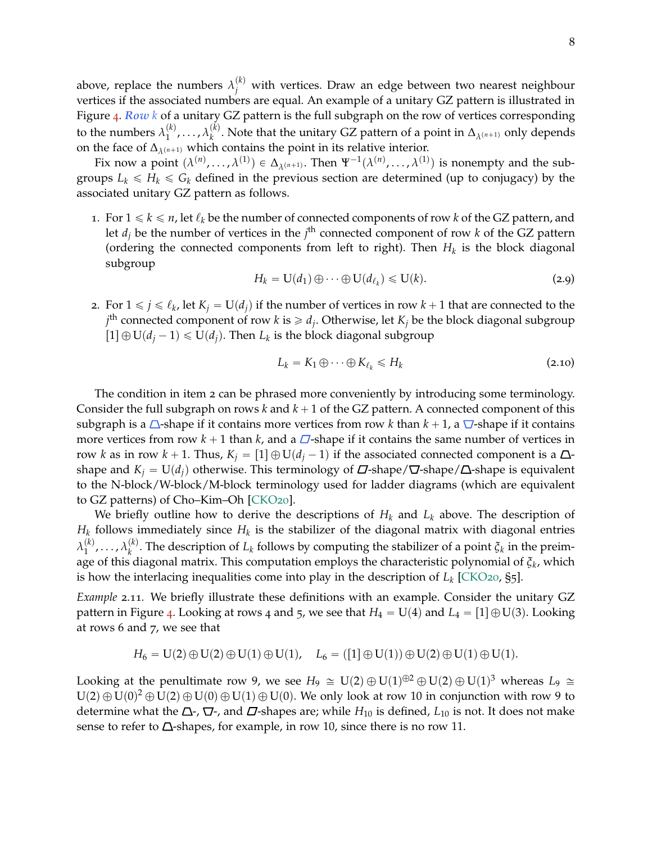above, replace the numbers  $\lambda_j^{(k)}$  with vertices. Draw an edge between two nearest neighbour vertices if the associated numbers are equal. An example of a unitary GZ pattern is illustrated in Figure [4](#page-3-0). *Row k* of a unitary GZ pattern is the full subgraph on the row of vertices corresponding to the numbers  $\lambda_1^{(k)}$  $\lambda_1^{(k)}, \ldots, \lambda_k^{(k)}$  $\mathcal{L}_{k}^{(k)}$ . Note that the unitary GZ pattern of a point in  $\Delta_{\lambda^{(n+1)}}$  only depends on the face of  $\Delta_{\lambda^{(n+1)}}$  which contains the point in its relative interior.

Fix now a point  $(\lambda^{(n)}, \ldots, \lambda^{(1)}) \in \Delta_{\lambda^{(n+1)}}$ . Then  $\Psi^{-1}(\lambda^{(n)}, \ldots, \lambda^{(1)})$  is nonempty and the subgroups  $L_k \le H_k \le G_k$  defined in the previous section are determined (up to conjugacy) by the associated unitary GZ pattern as follows.

1. For  $1 \le k \le n$ , let  $\ell_k$  be the number of connected components of row *k* of the GZ pattern, and let  $d_j$  be the number of vertices in the  $j^{\text{th}}$  connected component of row  $k$  of the GZ pattern (ordering the connected components from left to right). Then  $H_k$  is the block diagonal subgroup

<span id="page-7-0"></span>
$$
H_k = \mathbf{U}(d_1) \oplus \cdots \oplus \mathbf{U}(d_{\ell_k}) \leqslant \mathbf{U}(k). \tag{2.9}
$$

2. For  $1 \leq j \leq \ell_k$ , let  $K_j = U(d_j)$  if the number of vertices in row  $k + 1$  that are connected to the  $j^{\text{th}}$  connected component of row *k* is  $\geq d_j$ . Otherwise, let  $K_j$  be the block diagonal subgroup  $\Gamma[1] \oplus U(d_j - 1) \le U(d_j)$ . Then  $L_k$  is the block diagonal subgroup

<span id="page-7-1"></span>
$$
L_k = K_1 \oplus \cdots \oplus K_{\ell_k} \le H_k \tag{2.10}
$$

The condition in item 2 can be phrased more conveniently by introducing some terminology. Consider the full subgraph on rows  $k$  and  $k + 1$  of the GZ pattern. A connected component of this subgraph is a  $\triangle$ -shape if it contains more vertices from row *k* than  $k + 1$ , a  $\nabla$ -shape if it contains more vertices from row  $k + 1$  than  $k$ , and a  $\Box$ -shape if it contains the same number of vertices in row *k* as in row  $k + 1$ . Thus,  $K_j = [1] \oplus U(d_j - 1)$  if the associated connected component is a  $\Delta$ shape and  $K_j = U(d_j)$  otherwise. This terminology of  $\Delta$ -shape/ $\Delta$ -shape is equivalent to the N-block/W-block/M-block terminology used for ladder diagrams (which are equivalent to GZ patterns) of Cho–Kim–Oh [\[CKO](#page-28-2)20].

We briefly outline how to derive the descriptions of  $H_k$  and  $L_k$  above. The description of  $H_k$  follows immediately since  $H_k$  is the stabilizer of the diagonal matrix with diagonal entries  $\lambda_1^{(k)}$  $\lambda_1^{(k)}, \ldots, \lambda_k^{(k)}$  $\alpha_k^{(k)}$ . The description of  $L_k$  follows by computing the stabilizer of a point  $\zeta_k$  in the preimage of this diagonal matrix. This computation employs the characteristic polynomial of *ξ<sup>k</sup>* , which is how the interlacing inequalities come into play in the description of *L<sup>k</sup>* [\[CKO](#page-28-2)20, §5].

*Example* 2.11*.* We briefly illustrate these definitions with an example. Consider the unitary GZ pattern in Figure [4](#page-3-0). Looking at rows 4 and 5, we see that  $H_4 = U(4)$  and  $L_4 = [1] \oplus U(3)$ . Looking at rows 6 and 7, we see that

$$
H_6=U(2)\oplus U(2)\oplus U(1)\oplus U(1),\quad L_6=\left(\left[1\right]\oplus U(1)\right)\oplus U(2)\oplus U(1)\oplus U(1).
$$

Looking at the penultimate row 9, we see  $H_9 \cong U(2) \oplus U(1)^{\oplus 2} \oplus U(2) \oplus U(1)^3$  whereas  $L_9 \cong$  $U(2) \oplus U(0)^2 \oplus U(2) \oplus U(0) \oplus U(1) \oplus U(0)$ . We only look at row 10 in conjunction with row 9 to determine what the  $\Delta$ -,  $\nabla$ -, and  $\nabla$ -shapes are; while  $H_{10}$  is defined,  $L_{10}$  is not. It does not make sense to refer to  $\Delta$ -shapes, for example, in row 10, since there is no row 11.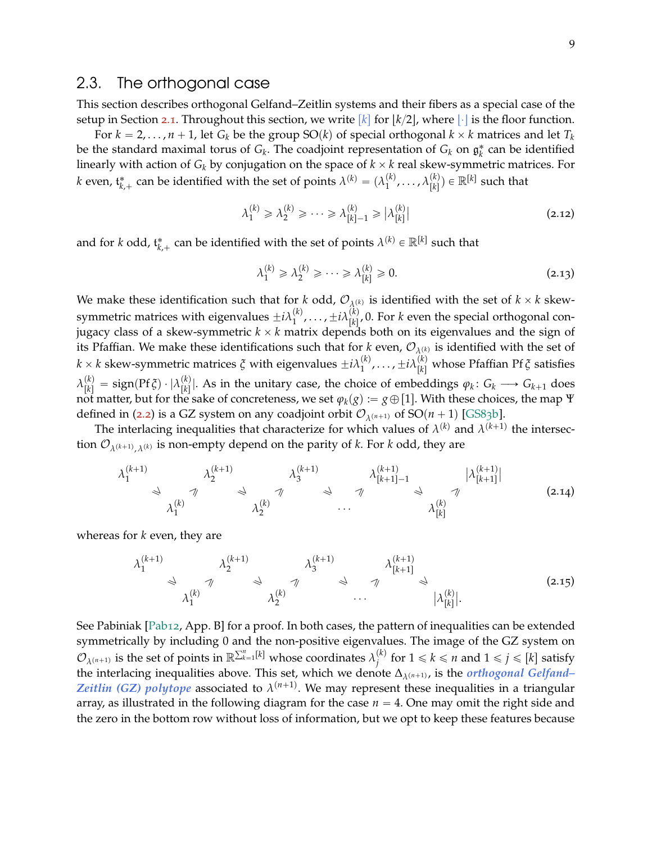### <span id="page-8-0"></span>2.3. The orthogonal case

This section describes orthogonal Gelfand–Zeitlin systems and their fibers as a special case of the setup in Section [2](#page-4-0).1. Throughout this section, we write  $\kappa$  for  $\kappa/2$ , where  $\|\cdot\|$  is the floor function.

For  $k = 2, \ldots, n + 1$ , let  $G_k$  be the group SO(k) of special orthogonal  $k \times k$  matrices and let  $T_k$ be the standard maximal torus of  $G_k$ . The coadjoint representation of  $G_k$  on  $\mathfrak{g}_k^*$  can be identified linearly with action of  $G_k$  by conjugation on the space of  $k \times k$  real skew-symmetric matrices. For *k* even,  $\mathfrak{t}^*_{k,+}$  can be identified with the set of points  $\lambda^{(k)} = (\lambda_1^{(k)})^2$  $\lambda_1^{(k)}, \ldots, \lambda_{[k]}^{(k)}$  $\binom{k}{k}$ )  $\in \mathbb{R}^{[k]}$  such that

<span id="page-8-1"></span>
$$
\lambda_1^{(k)} \geqslant \lambda_2^{(k)} \geqslant \cdots \geqslant \lambda_{[k]-1}^{(k)} \geqslant \left| \lambda_{[k]}^{(k)} \right| \tag{2.12}
$$

and for *k* odd,  $t_{k,+}^*$  can be identified with the set of points  $\lambda^{(k)} \in \mathbb{R}^{[k]}$  such that

<span id="page-8-2"></span>
$$
\lambda_1^{(k)} \geqslant \lambda_2^{(k)} \geqslant \cdots \geqslant \lambda_{[k]}^{(k)} \geqslant 0. \tag{2.13}
$$

We make these identification such that for *k* odd,  $\mathcal{O}_{\lambda^{(k)}}$  is identified with the set of  $k \times k$  skewsymmetric matrices with eigenvalues  $\pm i\lambda_1^{(k)}$  $\mathcal{L}_1^{(k)}$ , . . . ,  $\pm i\lambda_{\lceil k \rceil}^{(k)}$  $\binom{N}{[k]}$ , 0. For *k* even the special orthogonal conjugacy class of a skew-symmetric  $k \times k$  matrix depends both on its eigenvalues and the sign of its Pfaffian. We make these identifications such that for *k* even,  $\mathcal{O}_{\lambda^{(k)}}$  is identified with the set of  $k \times k$  skew-symmetric matrices  $\tilde{\zeta}$  with eigenvalues  $\pm i\lambda_1^{(k)}$  $\mathcal{L}_1^{(k)}, \ldots, \pm i\lambda_{[k]}^{(k)}$  whose Pfaffian Pf  $\zeta$  satisfies  $\lambda_{[k]}^{(k)} = \operatorname{sign}(\operatorname{Pf} \xi) \cdot | \lambda_{[k]}^{(k)}$  $\frac{f(x)}{[k]}$ . As in the unitary case, the choice of embeddings  $\varphi_k \colon G_k \longrightarrow G_{k+1}$  does not matter, but for the sake of concreteness, we set  $\varphi_k(g) := g \oplus [1]$ . With these choices, the map  $\Psi$ defined in ([2](#page-4-1).2) is a GZ system on any coadjoint orbit  $\mathcal{O}_{\lambda^{(n+1)}}$  of SO(*n* + 1) [\[GS](#page-28-11)83b].

The interlacing inequalities that characterize for which values of  $\lambda^{(k)}$  and  $\lambda^{(k+1)}$  the intersection  $\mathcal{O}_{\lambda^{(k+1)}, \lambda^{(k)}}$  is non-empty depend on the parity of *k*. For *k* odd, they are

$$
\lambda_1^{(k+1)} \qquad \lambda_2^{(k+1)} \qquad \lambda_3^{(k+1)} \qquad \lambda_4^{(k+1)} \qquad \lambda_5^{(k+1)} \qquad \lambda_{[k+1]-1}^{(k+1)} \qquad \lambda_{[k]}^{(k+1)} \qquad \lambda_{[k]}^{(k+1)} \qquad \lambda_{[k]}^{(k)}
$$
\n
$$
\lambda_1^{(k)} \qquad \lambda_2^{(k)} \qquad \cdots \qquad \lambda_{[k]}^{(k)}
$$
\n
$$
(2.14)
$$

whereas for *k* even, they are

$$
\lambda_1^{(k+1)} \qquad \lambda_2^{(k+1)} \qquad \lambda_3^{(k+1)} \qquad \lambda_4^{(k+1)} \qquad \lambda_{[k+1]}^{(k+1)} \qquad \lambda_{[k+1]}^{(k+1)} \qquad \lambda_{[k]}^{(k)}
$$
\n
$$
\lambda_1^{(k)} \qquad \lambda_2^{(k)} \qquad \cdots \qquad |\lambda_{[k]}^{(k)}|.
$$
\n
$$
(2.15)
$$

See Pabiniak [\[Pab](#page-29-3)12, App. B] for a proof. In both cases, the pattern of inequalities can be extended symmetrically by including 0 and the non-positive eigenvalues. The image of the GZ system on  $\mathcal{O}_{\lambda^{(n+1)}}$  is the set of points in  $\mathbb{R}^{\sum_{k=1}^{n}[k]}$  whose coordinates  $\lambda_j^{(k)}$  $j_j^{(k)}$  for  $1 \leqslant k \leqslant n$  and  $1 \leqslant j \leqslant [k]$  satisfy the interlacing inequalities above. This set, which we denote  $\Delta_{\lambda^{(n+1)}}$ , is the *orthogonal Gelfand*– *Zeitlin* (GZ) polytope associated to  $\lambda^{(n+1)}$ . We may represent these inequalities in a triangular array, as illustrated in the following diagram for the case  $n = 4$ . One may omit the right side and the zero in the bottom row without loss of information, but we opt to keep these features because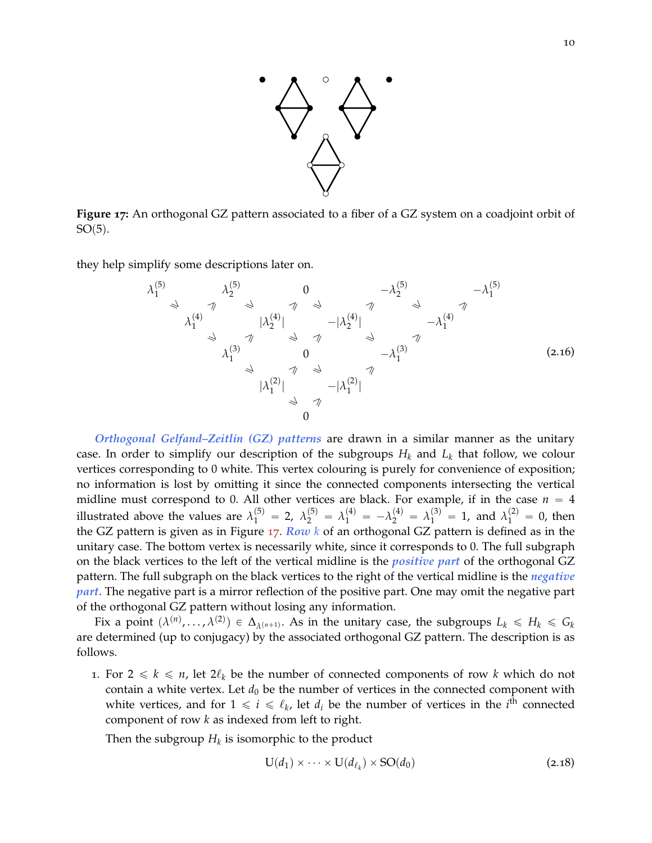

<span id="page-9-0"></span>**Figure 17:** An orthogonal GZ pattern associated to a fiber of a GZ system on a coadjoint orbit of  $SO(5)$ .

they help simplify some descriptions later on.

*λ* p5q 1 *λ* p5q 2 0 ´*λ* p5q <sup>2</sup> ´*λ* p5q 1 ě ě ě ě ě ě ě ě *λ* p4q 1 |*λ* p4q 2 | ´|*λ* p4q 2 | ´*λ* p4q 1 ě ě ě ě ě ě *λ* p3q 1 0 ´*λ* p3q 1 ě ě ě ě |*λ* p2q 1 | ´|*λ* p2q 1 | ě ě 0 (2.16)

*Orthogonal Gelfand–Zeitlin (GZ) patterns* are drawn in a similar manner as the unitary case. In order to simplify our description of the subgroups  $H_k$  and  $L_k$  that follow, we colour vertices corresponding to 0 white. This vertex colouring is purely for convenience of exposition; no information is lost by omitting it since the connected components intersecting the vertical midline must correspond to 0. All other vertices are black. For example, if in the case  $n = 4$ illustrated above the values are  $\lambda_1^{(5)} = 2$ ,  $\lambda_2^{(5)} = \lambda_1^{(4)} = -\lambda_2^{(4)} = \lambda_1^{(3)} = 1$ , and  $\lambda_1^{(2)} = 0$ , then the GZ pattern is given as in Figure [17](#page-9-0). *Row k* of an orthogonal GZ pattern is defined as in the unitary case. The bottom vertex is necessarily white, since it corresponds to 0. The full subgraph on the black vertices to the left of the vertical midline is the *positive part* of the orthogonal GZ pattern. The full subgraph on the black vertices to the right of the vertical midline is the *negative part*. The negative part is a mirror reflection of the positive part. One may omit the negative part of the orthogonal GZ pattern without losing any information.

Fix a point  $(\lambda^{(n)}, \ldots, \lambda^{(2)}) \in \Delta_{\lambda^{(n+1)}}$ . As in the unitary case, the subgroups  $L_k \le H_k \le G_k$ are determined (up to conjugacy) by the associated orthogonal GZ pattern. The description is as follows.

1. For  $2 \le k \le n$ , let  $2\ell_k$  be the number of connected components of row k which do not contain a white vertex. Let  $d_0$  be the number of vertices in the connected component with white vertices, and for  $1 \leq i \leq \ell_k$ , let  $d_i$  be the number of vertices in the  $i^{\overline{th}}$  connected component of row *k* as indexed from left to right.

Then the subgroup  $H_k$  is isomorphic to the product

<span id="page-9-1"></span>
$$
U(d_1) \times \cdots \times U(d_{\ell_k}) \times SO(d_0)
$$
\n(2.18)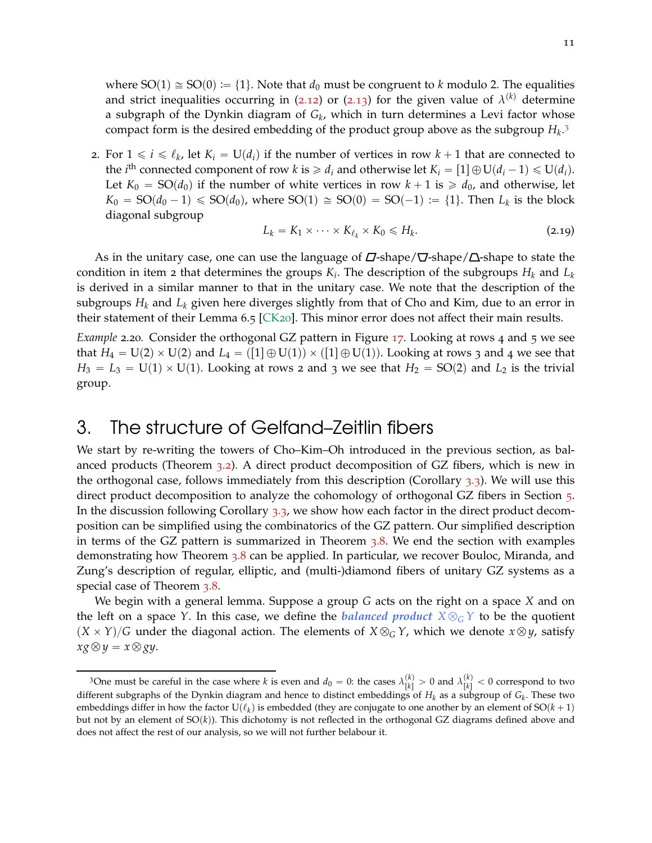where  $SO(1) \cong SO(0) := \{1\}$ . Note that  $d_0$  must be congruent to *k* modulo 2. The equalities and strict inequalities occurring in (2.[12](#page-8-1)) or (2.[13](#page-8-2)) for the given value of  $\lambda^{(k)}$  determine a subgraph of the Dynkin diagram of *G<sup>k</sup>* , which in turn determines a Levi factor whose compact form is the desired embedding of the product group above as the subgroup *H<sup>k</sup>* . [3](#page-10-1)

2. For  $1 \leq i \leq \ell_k$ , let  $K_i = U(d_i)$  if the number of vertices in row  $k + 1$  that are connected to the *i*<sup>th</sup> connected component of row *k* is  $\ge d_i$  and otherwise let  $K_i = [1] \oplus U(d_i - 1) \le U(d_i)$ . Let  $K_0 = SO(d_0)$  if the number of white vertices in row  $k + 1$  is  $\ge d_0$ , and otherwise, let  $K_0 = SO(d_0 - 1) \leqslant SO(d_0)$ , where  $SO(1) \cong SO(0) = SO(-1) := \{1\}$ . Then  $L_k$  is the block diagonal subgroup

<span id="page-10-3"></span>
$$
L_k = K_1 \times \cdots \times K_{\ell_k} \times K_0 \leq H_k. \tag{2.19}
$$

As in the unitary case, one can use the language of  $\Delta$ -shape/ $\nabla$ -shape/ $\Delta$ -shape to state the condition in item 2 that determines the groups *K<sup>i</sup>* . The description of the subgroups *H<sup>k</sup>* and *L<sup>k</sup>* is derived in a similar manner to that in the unitary case. We note that the description of the subgroups  $H_k$  and  $L_k$  given here diverges slightly from that of Cho and Kim, due to an error in their statement of their Lemma 6.5 [\[CK](#page-28-4)20]. This minor error does not affect their main results.

*Example* 2.20*.* Consider the orthogonal GZ pattern in Figure [17](#page-9-0). Looking at rows 4 and 5 we see that  $H_4 = U(2) \times U(2)$  and  $L_4 = ([1] \oplus U(1)) \times ([1] \oplus U(1))$ . Looking at rows 3 and 4 we see that  $H_3 = L_3 = U(1) \times U(1)$ . Looking at rows 2 and 3 we see that  $H_2 = SO(2)$  and  $L_2$  is the trivial group.

# <span id="page-10-0"></span>3. The structure of Gelfand–Zeitlin fibers

We start by re-writing the towers of Cho–Kim–Oh introduced in the previous section, as balanced products (Theorem [3](#page-11-0).2). A direct product decomposition of GZ fibers, which is new in the orthogonal case, follows immediately from this description (Corollary [3](#page-12-0).3). We will use this direct product decomposition to analyze the cohomology of orthogonal GZ fibers in Section [5](#page-19-1). In the discussion following Corollary [3](#page-12-0).3, we show how each factor in the direct product decomposition can be simplified using the combinatorics of the GZ pattern. Our simplified description in terms of the GZ pattern is summarized in Theorem [3](#page-13-0).8. We end the section with examples demonstrating how Theorem [3](#page-13-0).8 can be applied. In particular, we recover Bouloc, Miranda, and Zung's description of regular, elliptic, and (multi-)diamond fibers of unitary GZ systems as a special case of Theorem [3](#page-13-0).8.

We begin with a general lemma. Suppose a group *G* acts on the right on a space *X* and on the left on a space *Y*. In this case, we define the *balanced product*  $X \otimes_G Y$  to be the quotient  $(X \times Y)/G$  under the diagonal action. The elements of  $X \otimes_G Y$ , which we denote  $x \otimes y$ , satisfy  $xg \otimes y = x \otimes gy$ .

<span id="page-10-2"></span><span id="page-10-1"></span><sup>&</sup>lt;sup>3</sup>One must be careful in the case where *k* is even and  $d_0 = 0$ : the cases  $\lambda_{[k]}^{(k)}$  $\binom{k}{k} > 0$  and  $\lambda \binom{k}{k}$  $\binom{k}{k}$  < 0 correspond to two different subgraphs of the Dynkin diagram and hence to distinct embeddings of *H<sup>k</sup>* as a subgroup of *G<sup>k</sup>* . These two embeddings differ in how the factor  $U(\ell_k)$  is embedded (they are conjugate to one another by an element of  $SO(k + 1)$ but not by an element of SO(k)). This dichotomy is not reflected in the orthogonal GZ diagrams defined above and does not affect the rest of our analysis, so we will not further belabour it.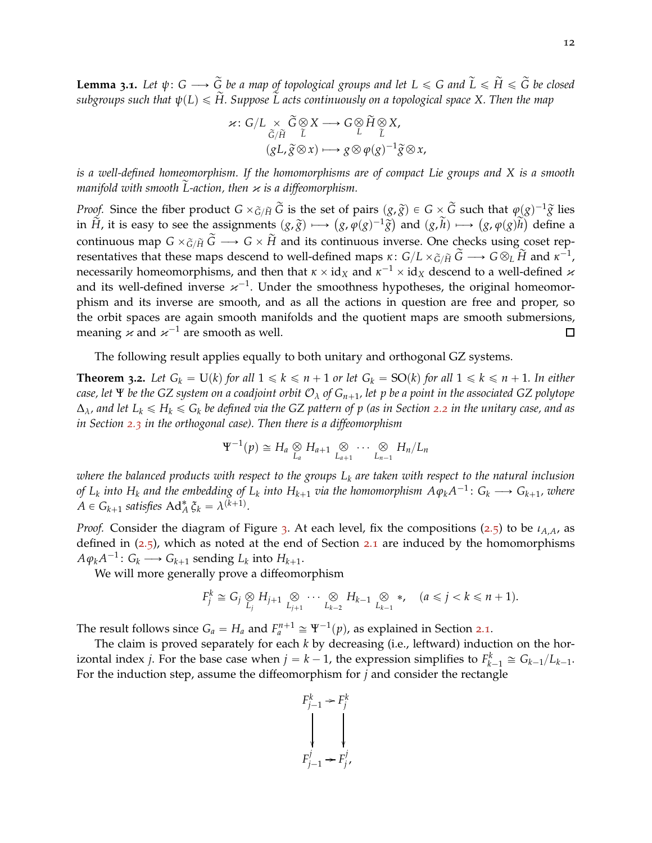**Lemma 3.1.** Let  $\psi: G \longrightarrow \tilde{G}$  be a map of topological groups and let  $L \le G$  and  $\tilde{L} \le \tilde{H} \le \tilde{G}$  be closed *subgroups such that*  $\psi(L) \leq H$ . Suppose  $\tilde{L}$  acts continuously on a topological space X. Then the map

$$
\kappa: G/L \underset{\widetilde{G}/\widetilde{H}}{\times} \widetilde{G} \underset{\widetilde{L}}{\otimes} X \longrightarrow G \underset{\widetilde{L}}{\otimes} \widetilde{H} \underset{\widetilde{L}}{\otimes} X,
$$

$$
(gL, \widetilde{g} \otimes x) \longmapsto g \otimes \varphi(g)^{-1} \widetilde{g} \otimes x,
$$

*is a well-defined homeomorphism. If the homomorphisms are of compact Lie groups and X is a smooth manifold with smooth*  $\tilde{L}$ -action, then *κ* is a diffeomorphism.

*Proof.* Since the fiber product  $G \times \tilde{G}/\tilde{H}$   $\tilde{G}$  is the set of pairs  $(g, \tilde{g}) \in G \times \tilde{G}$  such that  $\varphi(g)^{-1}\tilde{g}$  lies in  $\tilde{H}$ , it is easy to see the assignments  $(g, \tilde{g}) \mapsto (g, \varphi(g)^{-1} \tilde{g})$  and  $(g, \tilde{h}) \mapsto (g, \varphi(g) \tilde{h})$  define a continuous map  $G \times \tilde{G}/\tilde{H} \widetilde{G} \longrightarrow G \times \widetilde{H}$  and its continuous inverse. One checks using coset representatives that these maps descend to well-defined maps  $\kappa\colon G/L\times_{\widetilde{G}/\widetilde{H}}\widetilde{G}\longrightarrow G\otimes_L\widetilde{H}$  and  $\kappa^{-1}$ , necessarily homeomorphisms, and then that  $\kappa\times{\rm id}_X$  and  $\kappa^{-1}\times{\rm id}_X$  descend to a well-defined  $\varkappa$ and its well-defined inverse  $\varkappa^{-1}$ . Under the smoothness hypotheses, the original homeomorphism and its inverse are smooth, and as all the actions in question are free and proper, so the orbit spaces are again smooth manifolds and the quotient maps are smooth submersions, meaning  $\varkappa$  and  $\varkappa^{-1}$  are smooth as well. 口

<span id="page-11-0"></span>The following result applies equally to both unitary and orthogonal GZ systems.

**Theorem 3.2.** Let  $G_k = U(k)$  for all  $1 \leq k \leq n+1$  or let  $G_k = SO(k)$  for all  $1 \leq k \leq n+1$ . In either *case, let*  $\Psi$  *be the GZ system on a coadjoint orbit*  $O_\lambda$  *of*  $G_{n+1}$ *, let* p *be a point in the associated GZ polytope*  $\Delta_{\lambda}$ *, and let*  $L_k \le H_k \le G_k$  *be defined via the GZ pattern of p (as in Section [2](#page-6-0).2 in the unitary case, and as in Section [2](#page-8-0).3 in the orthogonal case). Then there is a diffeomorphism*

$$
\Psi^{-1}(p) \cong H_a \underset{L_a}{\otimes} H_{a+1} \underset{L_{a+1}}{\otimes} \cdots \underset{L_{n-1}}{\otimes} H_n/L_n
$$

*where the balanced products with respect to the groups L<sup>k</sup> are taken with respect to the natural inclusion of*  $L_k$  *into*  $H_k$  *and the embedding of*  $L_k$  *<i>into*  $H_{k+1}$  *via the homomorphism*  $A\varphi_kA^{-1}\colon G_k\longrightarrow G_{k+1}$ *, where*  $A \in G_{k+1}$  satisfies  $\text{Ad}_{A}^{*} \xi_{k} = \lambda^{(k+1)}$ .

*Proof.* Consider the diagram of Figure [3](#page-5-0). At each level, fix the compositions ([2](#page-5-1).5) to be *ιA*,*A*, as defined in  $(2.5)$  $(2.5)$  $(2.5)$ , which as noted at the end of Section 2.1 are induced by the homomorphisms  $A\varphi_k A^{-1}$ :  $G_k$  →  $G_{k+1}$  sending  $L_k$  into  $H_{k+1}$ .

We will more generally prove a diffeomorphism

$$
F_j^k \cong G_j \underset{L_j}{\otimes} H_{j+1} \underset{L_{j+1}}{\otimes} \cdots \underset{L_{k-2}}{\otimes} H_{k-1} \underset{L_{k-1}}{\otimes} *, \quad (a \leq j < k \leq n+1).
$$

The result follows since  $G_a = H_a$  and  $F_a^{n+1} \cong \Psi^{-1}(p)$ , as explained in Section [2](#page-4-0).1.

The claim is proved separately for each *k* by decreasing (i.e., leftward) induction on the horizontal index *j*. For the base case when  $j = k - 1$ , the expression simplifies to  $F_{k-1}^k \cong G_{k-1}/L_{k-1}$ . For the induction step, assume the diffeomorphism for *j* and consider the rectangle

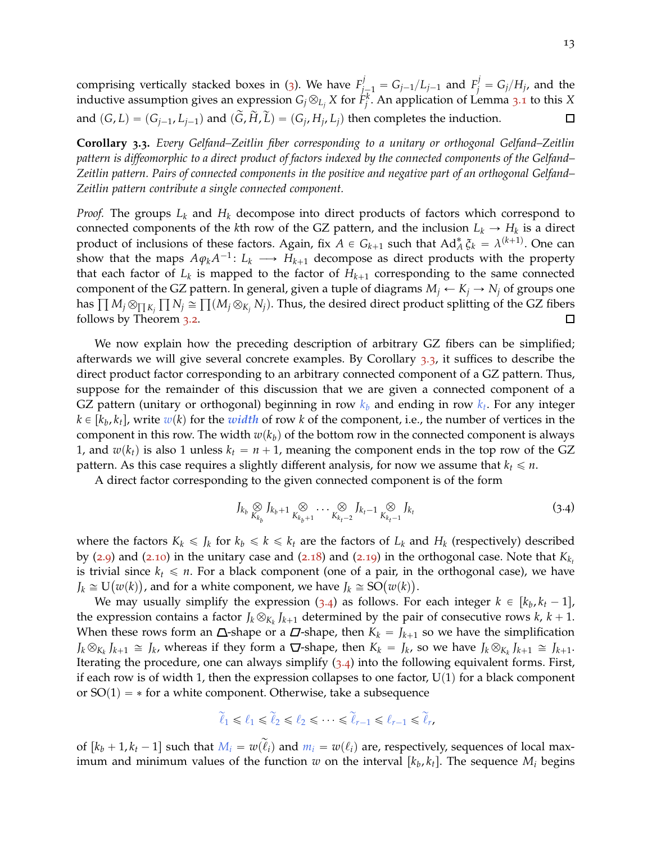comprising vertically stacked boxes in ([3](#page-5-0)). We have  $F^j_{j-1} = G_{j-1}/L_{j-1}$  and  $F^j_j = G_j/H_j$ , and the inductive assumption gives an expression  $G_j \otimes_{L_j} X$  for  $\hat{F}^k_j$ . An application of Lemma [3](#page-10-2).1 to this  $X$ and  $(G, L) = (G_{j-1}, L_{j-1})$  and  $(G, H, L) = (G_j, H_j, L_j)$  then completes the induction.  $\Box$ 

<span id="page-12-0"></span>**Corollary 3.3.** *Every Gelfand–Zeitlin fiber corresponding to a unitary or orthogonal Gelfand–Zeitlin pattern is diffeomorphic to a direct product of factors indexed by the connected components of the Gelfand– Zeitlin pattern. Pairs of connected components in the positive and negative part of an orthogonal Gelfand– Zeitlin pattern contribute a single connected component.*

*Proof.* The groups *L<sup>k</sup>* and *H<sup>k</sup>* decompose into direct products of factors which correspond to connected components of the *k*th row of the GZ pattern, and the inclusion  $L_k \to H_k$  is a direct product of inclusions of these factors. Again, fix  $A \in G_{k+1}$  such that  $Ad^*_A \xi_k = \lambda^{(k+1)}$ . One can show that the maps  $A\varphi_kA^{-1}$ :  $L_k \longrightarrow H_{k+1}$  decompose as direct products with the property that each factor of  $L_k$  is mapped to the factor of  $H_{k+1}$  corresponding to the same connected component of the GZ pattern. In general, given a tuple of diagrams  $M_i \leftarrow K_i \rightarrow N_i$  of groups one has  $\prod M_j\otimes_{\prod K_j}\prod N_j\cong\prod (M_j\otimes_{K_j}N_j).$  Thus, the desired direct product splitting of the GZ fibers follows by Theorem [3](#page-11-0).2.  $\Box$ 

We now explain how the preceding description of arbitrary GZ fibers can be simplified; afterwards we will give several concrete examples. By Corollary [3](#page-12-0).3, it suffices to describe the direct product factor corresponding to an arbitrary connected component of a GZ pattern. Thus, suppose for the remainder of this discussion that we are given a connected component of a GZ pattern (unitary or orthogonal) beginning in row *k<sup>b</sup>* and ending in row *k<sup>t</sup>* . For any integer  $k \in [k_b, k_t]$ , write  $w(k)$  for the *width* of row  $k$  of the component, i.e., the number of vertices in the component in this row. The width  $w(k<sub>b</sub>)$  of the bottom row in the connected component is always 1, and  $w(k_t)$  is also 1 unless  $k_t = n + 1$ , meaning the component ends in the top row of the GZ pattern. As this case requires a slightly different analysis, for now we assume that  $k_t \leq n$ .

A direct factor corresponding to the given connected component is of the form

<span id="page-12-1"></span>
$$
J_{k_b} \underset{K_{k_b}}{\otimes} J_{k_b+1} \underset{K_{k_b+1}}{\otimes} \cdots \underset{K_{k_t-2}}{\otimes} J_{k_t-1} \underset{K_{k_t-1}}{\otimes} J_{k_t}
$$
 (3.4)

where the factors  $K_k \leq J_k$  for  $k_b \leq k \leq k_t$  are the factors of  $L_k$  and  $H_k$  (respectively) described by ([2](#page-7-0).9) and (2.[10](#page-7-1)) in the unitary case and (2.[18](#page-9-1)) and (2.[19](#page-10-3)) in the orthogonal case. Note that  $K_{k}$ is trivial since  $k_t \leq n$ . For a black component (one of a pair, in the orthogonal case), we have  $J_k \cong U(w(k))$ , and for a white component, we have  $J_k \cong SO(w(k))$ .

We may usually simplify the expression ([3](#page-12-1).4) as follows. For each integer  $k \in [k_b, k_t - 1]$ , the expression contains a factor  $J_k \otimes_{K_k} J_{k+1}$  determined by the pair of consecutive rows  $k, k+1$ . When these rows form an  $\Delta$ -shape or a  $\Delta$ -shape, then  $K_k = J_{k+1}$  so we have the simplification  $J_k \otimes_{K_k} J_{k+1} \cong J_k$ , whereas if they form a  $\Box$ -shape, then  $K_k = J_k$ , so we have  $J_k \otimes_{K_k} J_{k+1} \cong J_{k+1}$ . Iterating the procedure, one can always simplify ([3](#page-12-1).4) into the following equivalent forms. First, if each row is of width 1, then the expression collapses to one factor,  $U(1)$  for a black component or  $SO(1) = *$  for a white component. Otherwise, take a subsequence

$$
\widetilde{\ell}_1 \leq \ell_1 \leq \widetilde{\ell}_2 \leq \ell_2 \leq \cdots \leq \widetilde{\ell}_{r-1} \leq \ell_{r-1} \leq \widetilde{\ell}_r,
$$

of  $[k_b+1, k_t-1]$  such that  $M_i = w(\widetilde{\ell}_i)$  and  $m_i = w(\ell_i)$  are, respectively, sequences of local maximum and minimum values of the function  $w$  on the interval  $[k_b, k_t]$ . The sequence  $M_i$  begins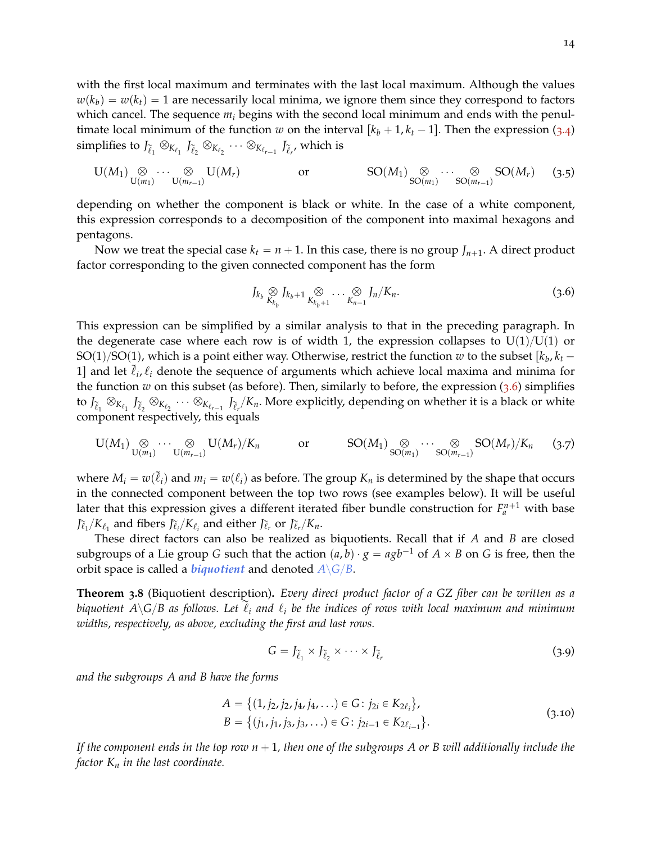with the first local maximum and terminates with the last local maximum. Although the values  $w(k_b) = w(k_f) = 1$  are necessarily local minima, we ignore them since they correspond to factors which cancel. The sequence *m<sup>i</sup>* begins with the second local minimum and ends with the penultimate local minimum of the function *w* on the interval  $\left[k_b + 1, k_t - 1\right]$ . Then the expression ([3](#page-12-1).4)  $\sup$  simplifies to  $J_{\widetilde{\ell}_1}\otimes_{K_{\ell_1}} J_{\widetilde{\ell}_2}\otimes_{K_{\ell_2}} \cdots \otimes_{K_{\ell_{r-1}}} J_{\widetilde{\ell}_{r'}}$  which is

<span id="page-13-2"></span>
$$
\mathrm{U}(M_1) \underset{\mathrm{U}(m_1)}{\otimes} \cdots \underset{\mathrm{U}(m_{r-1})}{\otimes} \mathrm{U}(M_r) \qquad \text{or} \qquad \mathrm{SO}(M_1) \underset{\mathrm{SO}(m_1)}{\otimes} \cdots \underset{\mathrm{SO}(m_{r-1})}{\otimes} \mathrm{SO}(M_r) \qquad (3.5)
$$

depending on whether the component is black or white. In the case of a white component, this expression corresponds to a decomposition of the component into maximal hexagons and pentagons.

Now we treat the special case  $k_t = n + 1$ . In this case, there is no group  $J_{n+1}$ . A direct product factor corresponding to the given connected component has the form

<span id="page-13-1"></span>
$$
J_{k_b} \underset{K_{k_b}}{\otimes} J_{k_b+1} \underset{K_{k_b+1}}{\otimes} \cdots \underset{K_{n-1}}{\otimes} J_n/K_n. \tag{3.6}
$$

This expression can be simplified by a similar analysis to that in the preceding paragraph. In the degenerate case where each row is of width 1, the expression collapses to  $U(1)/U(1)$  or  ${\rm SO}(1)/{\rm SO}(1)$ , which is a point either way. Otherwise, restrict the function  $w$  to the subset  $[k_b, k_t - \tau]$ 1] and let  $\tilde{\ell}_i$ ,  $\ell_i$  denote the sequence of arguments which achieve local maxima and minima for the function  $w$  on this subset (as before). Then, similarly to before, the expression  $(3.6)$  $(3.6)$  $(3.6)$  simplifies to  $J_{\tilde{\ell}_1}\otimes_{K_{\ell_1}} J_{\tilde{\ell}_2}\otimes_{K_{\ell_2}} \cdots \otimes_{K_{\ell_{r-1}}} J_{\tilde{\ell}_r}/K_n$ . More explicitly, depending on whether it is a black or white component respectively, this equals

<span id="page-13-3"></span>
$$
\mathbf{U}(M_1) \underset{\mathbf{U}(m_1)}{\otimes} \cdots \underset{\mathbf{U}(m_{r-1})}{\otimes} \mathbf{U}(M_r)/K_n \qquad \text{or} \qquad \text{SO}(M_1) \underset{\mathbf{SO}(m_1)}{\otimes} \cdots \underset{\mathbf{SO}(m_{r-1})}{\otimes} \text{SO}(M_r)/K_n \qquad (3.7)
$$

where  $M_i = w(\tilde{\ell}_i)$  and  $m_i = w(\ell_i)$  as before. The group  $K_n$  is determined by the shape that occurs in the connected component between the top two rows (see examples below). It will be useful later that this expression gives a different iterated fiber bundle construction for  $F_a^{n+1}$  with base *J* $\tilde{\ell}_1/K_{\ell_1}$  and fibers  $J\tilde{\ell}_i/K_{\ell_i}$  and either  $J\tilde{\ell}_r$  or  $J\tilde{\ell}_r/K_n$ .

These direct factors can also be realized as biquotients. Recall that if *A* and *B* are closed subgroups of a Lie group *G* such that the action  $(a, b) \cdot g = agb^{-1}$  of  $A \times B$  on *G* is free, then the orbit space is called a *biquotient* and denoted  $A \backslash G/B$ .

<span id="page-13-0"></span>**Theorem 3.8** (Biquotient description)**.** *Every direct product factor of a GZ fiber can be written as a biquotient A* $\setminus$ *G*/*B* as follows. Let  $\ell_i$  and  $\ell_i$  be the indices of rows with local maximum and minimum *widths, respectively, as above, excluding the first and last rows.*

$$
G = J_{\tilde{\ell}_1} \times J_{\tilde{\ell}_2} \times \cdots \times J_{\tilde{\ell}_r}
$$
\n(3.9)

*and the subgroups A and B have the forms*

$$
A = \{(1, j_2, j_2, j_4, j_4, \ldots) \in G : j_{2i} \in K_{2\ell_i}\},
$$
  
\n
$$
B = \{(j_1, j_1, j_3, j_3, \ldots) \in G : j_{2i-1} \in K_{2\ell_{i-1}}\}.
$$
\n(3.10)

*If the component ends in the top row*  $n + 1$ *, then one of the subgroups A or B will additionally include the factor K<sup>n</sup> in the last coordinate.*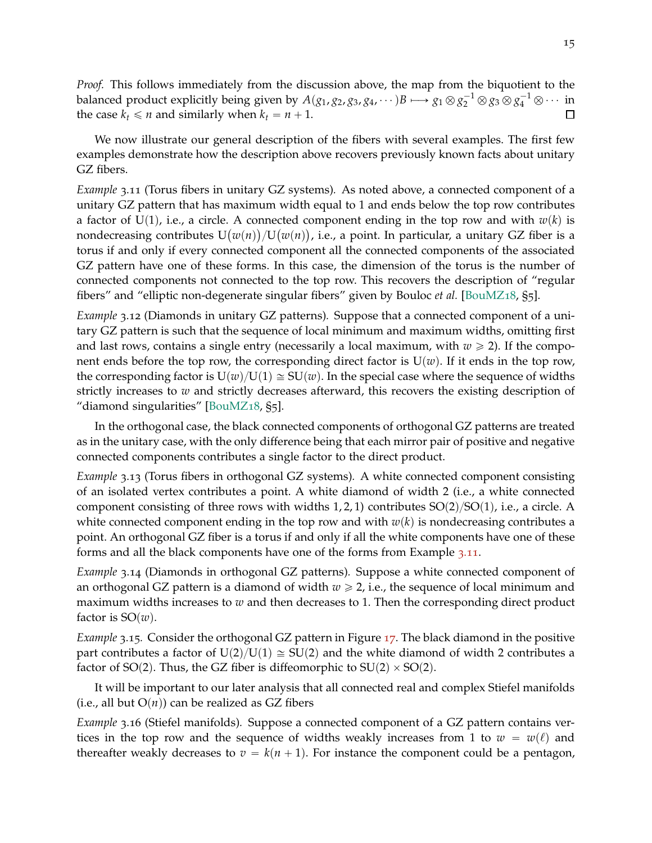*Proof.* This follows immediately from the discussion above, the map from the biquotient to the balanced product explicitly being given by  $A(g_1, g_2, g_3, g_4, \dots)B \longmapsto g_1 \otimes g_2^{-1} \otimes g_3 \otimes g_4^{-1} \otimes \dots$  in the case  $k_t \leq n$  and similarly when  $k_t = n + 1$ . П

We now illustrate our general description of the fibers with several examples. The first few examples demonstrate how the description above recovers previously known facts about unitary GZ fibers.

<span id="page-14-0"></span>*Example* 3.11 (Torus fibers in unitary GZ systems)*.* As noted above, a connected component of a unitary GZ pattern that has maximum width equal to 1 and ends below the top row contributes a factor of  $U(1)$ , i.e., a circle. A connected component ending in the top row and with  $w(k)$  is nondecreasing contributes  $U(w(n))/U(w(n))$ , i.e., a point. In particular, a unitary GZ fiber is a torus if and only if every connected component all the connected components of the associated GZ pattern have one of these forms. In this case, the dimension of the torus is the number of connected components not connected to the top row. This recovers the description of "regular fibers" and "elliptic non-degenerate singular fibers" given by Bouloc *et al.* [\[BouMZ](#page-28-5)18, §5].

<span id="page-14-2"></span>*Example* 3.12 (Diamonds in unitary GZ patterns)*.* Suppose that a connected component of a unitary GZ pattern is such that the sequence of local minimum and maximum widths, omitting first and last rows, contains a single entry (necessarily a local maximum, with  $w \ge 2$ ). If the component ends before the top row, the corresponding direct factor is  $U(w)$ . If it ends in the top row, the corresponding factor is  $U(w)/U(1) \cong SU(w)$ . In the special case where the sequence of widths strictly increases to *w* and strictly decreases afterward, this recovers the existing description of "diamond singularities" [\[BouMZ](#page-28-5)18, §5].

In the orthogonal case, the black connected components of orthogonal GZ patterns are treated as in the unitary case, with the only difference being that each mirror pair of positive and negative connected components contributes a single factor to the direct product.

<span id="page-14-3"></span>*Example* 3.13 (Torus fibers in orthogonal GZ systems)*.* A white connected component consisting of an isolated vertex contributes a point. A white diamond of width 2 (i.e., a white connected component consisting of three rows with widths 1, 2, 1) contributes  $SO(2)/SO(1)$ , i.e., a circle. A white connected component ending in the top row and with  $w(k)$  is nondecreasing contributes a point. An orthogonal GZ fiber is a torus if and only if all the white components have one of these forms and all the black components have one of the forms from Example 3.[11](#page-14-0).

<span id="page-14-1"></span>*Example* 3.14 (Diamonds in orthogonal GZ patterns)*.* Suppose a white connected component of an orthogonal GZ pattern is a diamond of width  $w \ge 2$ , i.e., the sequence of local minimum and maximum widths increases to *w* and then decreases to 1. Then the corresponding direct product factor is  $SO(w)$ .

*Example* 3.15*.* Consider the orthogonal GZ pattern in Figure [17](#page-9-0). The black diamond in the positive part contributes a factor of  $U(2)/U(1) \cong SU(2)$  and the white diamond of width 2 contributes a factor of SO(2). Thus, the GZ fiber is diffeomorphic to SU(2)  $\times$  SO(2).

<span id="page-14-4"></span>It will be important to our later analysis that all connected real and complex Stiefel manifolds (i.e., all but  $O(n)$ ) can be realized as GZ fibers

*Example* 3.16 (Stiefel manifolds)*.* Suppose a connected component of a GZ pattern contains vertices in the top row and the sequence of widths weakly increases from 1 to  $w = w(\ell)$  and thereafter weakly decreases to  $v = k(n + 1)$ . For instance the component could be a pentagon,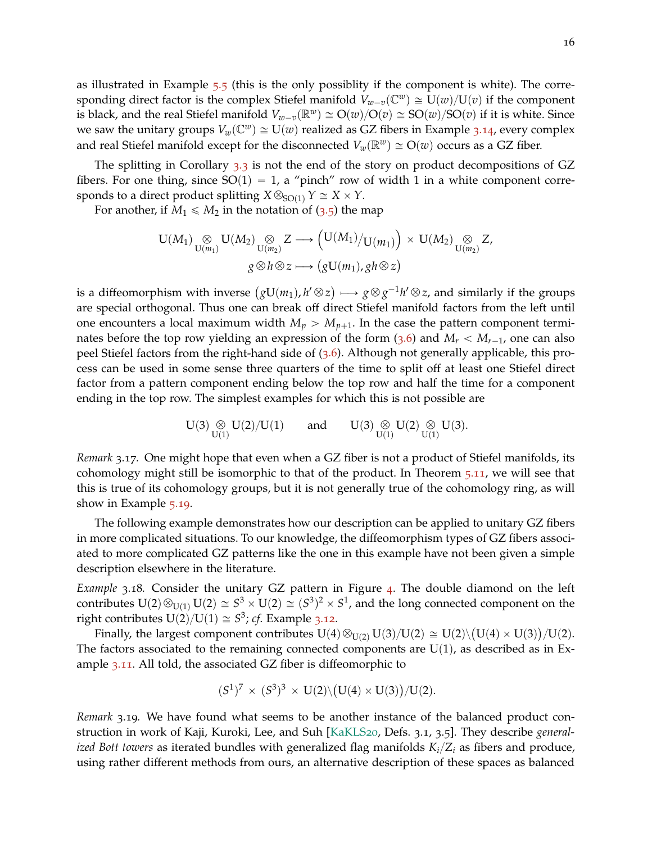as illustrated in Example [5](#page-20-0).5 (this is the only possiblity if the component is white). The corresponding direct factor is the complex Stiefel manifold  $V_{w-v}(\mathbb{C}^w) \cong U(w)/U(v)$  if the component is black, and the real Stiefel manifold  $V_{w-v}(\mathbb{R}^w) \cong O(w)/O(v) \cong SO(w)/SO(v)$  if it is white. Since we saw the unitary groups  $V_w(\mathbb{C}^w) \cong U(w)$  realized as GZ fibers in Example 3.[14](#page-14-1), every complex and real Stiefel manifold except for the disconnected  $V_w(\mathbb{R}^w) \cong O(w)$  occurs as a GZ fiber.

The splitting in Corollary [3](#page-12-0).3 is not the end of the story on product decompositions of GZ fibers. For one thing, since  $SO(1) = 1$ , a "pinch" row of width 1 in a white component corresponds to a direct product splitting  $X \otimes_{SO(1)} Y \cong X \times Y$ .

For another, if  $M_1 \leq M_2$  in the notation of ([3](#page-13-2).5) the map

$$
U(M_1) \underset{U(m_1)}{\otimes} U(M_2) \underset{U(m_2)}{\otimes} Z \longrightarrow (U(M_1)/U(m_1)) \times U(M_2) \underset{U(m_2)}{\otimes} Z,
$$
  

$$
g \otimes h \otimes z \longrightarrow (gU(m_1), gh \otimes z)
$$

is a diffeomorphism with inverse  $(gU(m_1), h' \otimes z) \longmapsto g \otimes g^{-1}h' \otimes z$ , and similarly if the groups are special orthogonal. Thus one can break off direct Stiefel manifold factors from the left until one encounters a local maximum width  $M_p > M_{p+1}$ . In the case the pattern component terminates before the top row yielding an expression of the form  $(3.6)$  $(3.6)$  $(3.6)$  and  $M_r < M_{r-1}$ , one can also peel Stiefel factors from the right-hand side of ([3](#page-13-1).6). Although not generally applicable, this process can be used in some sense three quarters of the time to split off at least one Stiefel direct factor from a pattern component ending below the top row and half the time for a component ending in the top row. The simplest examples for which this is not possible are

$$
U(3)\underset{U(1)}{\otimes}U(2)/U(1)\qquad\text{and}\qquad U(3)\underset{U(1)}{\otimes}U(2)\underset{U(1)}{\otimes}U(3).
$$

<span id="page-15-1"></span>*Remark* 3.17*.* One might hope that even when a GZ fiber is not a product of Stiefel manifolds, its cohomology might still be isomorphic to that of the product. In Theorem 5.[11](#page-22-0), we will see that this is true of its cohomology groups, but it is not generally true of the cohomology ring, as will show in Example 5.[19](#page-26-0).

The following example demonstrates how our description can be applied to unitary GZ fibers in more complicated situations. To our knowledge, the diffeomorphism types of GZ fibers associated to more complicated GZ patterns like the one in this example have not been given a simple description elsewhere in the literature.

<span id="page-15-0"></span>*Example* 3.18*.* Consider the unitary GZ pattern in Figure [4](#page-3-0). The double diamond on the left contributes  $U(2)\otimes_{U(1)} U(2)\cong S^3\times U(2)\cong (S^3)^2\times S^1$ , and the long connected component on the right contributes  $U(2)/U(1) \cong S^3$ ; *cf*. Example 3.[12](#page-14-2).

Finally, the largest component contributes  $U(4) \otimes_{U(2)} U(3)/U(2) \cong U(2) \setminus (U(4) \times U(3))/U(2)$ . The factors associated to the remaining connected components are  $U(1)$ , as described as in Example 3.[11](#page-14-0). All told, the associated GZ fiber is diffeomorphic to

$$
(S^1)^7 \times (S^3)^3 \times U(2) \setminus (U(4) \times U(3)) / U(2).
$$

*Remark* 3.19*.* We have found what seems to be another instance of the balanced product construction in work of Kaji, Kuroki, Lee, and Suh [\[KaKLS](#page-28-12)20, Defs. 3.1, 3.5]. They describe *generalized Bott towers* as iterated bundles with generalized flag manifolds  $K_i/Z_i$  as fibers and produce, using rather different methods from ours, an alternative description of these spaces as balanced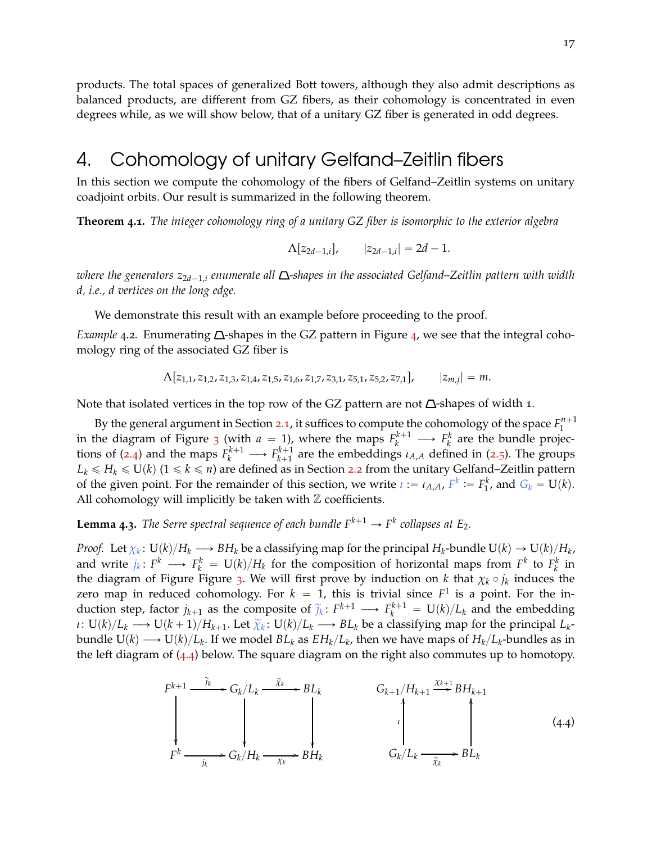products. The total spaces of generalized Bott towers, although they also admit descriptions as balanced products, are different from GZ fibers, as their cohomology is concentrated in even degrees while, as we will show below, that of a unitary GZ fiber is generated in odd degrees.

# <span id="page-16-2"></span>4. Cohomology of unitary Gelfand–Zeitlin fibers

<span id="page-16-0"></span>In this section we compute the cohomology of the fibers of Gelfand–Zeitlin systems on unitary coadjoint orbits. Our result is summarized in the following theorem.

**Theorem 4.1.** *The integer cohomology ring of a unitary GZ fiber is isomorphic to the exterior algebra*

$$
\Lambda[z_{2d-1,i}], \qquad |z_{2d-1,i}| = 2d-1.
$$

*where the generators*  $z_{2d-1,i}$  *enumerate all*  $\Delta$ -shapes in the associated Gelfand–Zeitlin pattern with width *d, i.e., d vertices on the long edge.*

<span id="page-16-1"></span>We demonstrate this result with an example before proceeding to the proof.

*Example* [4](#page-3-0).2. Enumerating  $\Delta$ -shapes in the GZ pattern in Figure 4, we see that the integral cohomology ring of the associated GZ fiber is

$$
\Lambda[z_{1,1}, z_{1,2}, z_{1,3}, z_{1,4}, z_{1,5}, z_{1,6}, z_{1,7}, z_{3,1}, z_{5,1}, z_{5,2}, z_{7,1}], \qquad |z_{m,j}| = m.
$$

Note that isolated vertices in the top row of the GZ pattern are not  $\Delta$ -shapes of width 1.

By the general argument in Section [2](#page-4-0).1, it suffices to compute the cohomology of the space  $F_1^{n+1}$ 1 in the diagram of Figure [3](#page-5-0) (with  $a = 1$ ), where the maps  $F_k^{k+1} \longrightarrow F_k^k$  are the bundle projec*k* tions of ([2](#page-5-2).4) and the maps  $F_k^{k+1} \longrightarrow F_{k+1}^{k+1}$  $k+1 \atop k+1$  are the embeddings  $\iota_{A,A}$  defined in ([2](#page-5-1).5). The groups  $L_k \le H_k \le U(k)$  ( $1 \le k \le n$ ) are defined as in Section [2](#page-6-0).2 from the unitary Gelfand–Zeitlin pattern of the given point. For the remainder of this section, we write  $\iota := \iota_{A,A}$ ,  $F^k := F_1^k$ , and  $G_k = U(k)$ . All cohomology will implicitly be taken with  $Z$  coefficients.

<span id="page-16-4"></span>**Lemma 4.3.** The Serre spectral sequence of each bundle  $F^{k+1} \rightarrow F^k$  collapses at  $E_2$ .

*Proof.* Let  $\chi_k\colon\mathrm{U}(k)/H_k\longrightarrow BH_k$  be a classifying map for the principal  $H_k$ -bundle  $\mathrm{U}(k)\to\mathrm{U}(k)/H_k$ , and write  $j_k\colon F^k\longrightarrow F^k_k = \mathrm{U}(k)/H_k$  for the composition of horizontal maps from  $F^k$  to  $F^k_k$  in the diagram of Figure Figure [3](#page-5-0). We will first prove by induction on *k* that  $\chi_k \circ j_k$  induces the zero map in reduced cohomology. For  $k = 1$ , this is trivial since  $F^1$  is a point. For the induction step, factor  $j_{k+1}$  as the composite of  $\tilde{j}_k: F^{k+1} \longrightarrow F^{k+1}_k = U(k)/L_k$  and the embedding  $\mu: U(k)/L_k \longrightarrow U(k+1)/H_{k+1}.$  Let  $\widetilde{\chi}_k: U(k)/L_k \longrightarrow BL_k$  be a classifying map for the principal  $L_k$ bundle U(k)  $\longrightarrow$  U(k)/ $L_k$ . If we model  $BL_k$  as  $EH_k/L_k$ , then we have maps of  $H_k/L_k$ -bundles as in the left diagram of ([4](#page-16-3).4) below. The square diagram on the right also commutes up to homotopy.

<span id="page-16-3"></span>
$$
F^{k+1} \xrightarrow{\widetilde{j}_k} G_k/L_k \xrightarrow{\widetilde{x}_k} BL_k
$$
\n
$$
G_{k+1}/H_{k+1} \xrightarrow{\widetilde{x}_k} BH_{k+1}
$$
\n
$$
\downarrow
$$
\n
$$
F^k \xrightarrow{\widetilde{j}_k} G_k/H_k \xrightarrow{\widetilde{x}_k} BH_k
$$
\n
$$
G_k/L_k \xrightarrow{\widetilde{x}_k} BL_k
$$
\n
$$
(4.4)
$$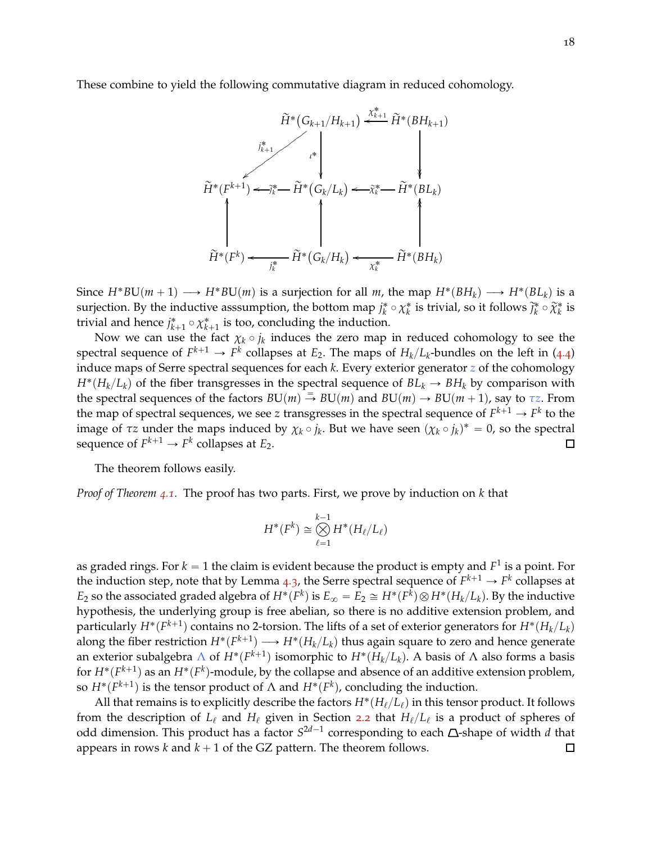These combine to yield the following commutative diagram in reduced cohomology.

$$
\widetilde{H}^*(G_{k+1}/H_{k+1}) \xleftarrow{\chi_{k+1}^*} \widetilde{H}^*(BH_{k+1})
$$
\n
$$
\widetilde{H}^*(F^{k+1}) \xleftarrow{\chi_{k+1}^*} \widetilde{H}^*(G_k/L_k) \xleftarrow{\chi_k^*} \widetilde{H}^*(BL_k)
$$
\n
$$
\widetilde{H}^*(F^k) \xleftarrow{\chi_k^*} \widetilde{H}^*(G_k/H_k) \xleftarrow{\chi_k^*} \widetilde{H}^*(BH_k)
$$

Since  $H^*BU(m+1) \longrightarrow H^*BU(m)$  is a surjection for all *m*, the map  $H^*(BH_k) \longrightarrow H^*(BL_k)$  is a surjection. By the inductive asssumption, the bottom map  $j_k^* \circ \chi_k^*$  is trivial, so it follows  $\tilde{j}_k^* \circ \tilde{\chi}_k^*$  is trivial and hence  $j_{k+1}^* \circ \chi_{k+1}^*$  is too, concluding the induction.

Now we can use the fact  $\chi_k \circ j_k$  induces the zero map in reduced cohomology to see the spectral sequence of  $F^{k+1} \to F^k$  collapses at  $E_2$ . The maps of  $H_k/L_k$ -bundles on the left in ([4](#page-16-3).4) induce maps of Serre spectral sequences for each *k*. Every exterior generator *z* of the cohomology  $H^*(H_k/L_k)$  of the fiber transgresses in the spectral sequence of  $BL_k \to BH_k$  by comparison with the spectral sequences of the factors  $BU(m) \stackrel{=}{\rightarrow} BU(m)$  and  $BU(m) \rightarrow BU(m+1)$ , say to  $\tau z$ . From the map of spectral sequences, we see  $z$  transgresses in the spectral sequence of  $F^{k+1} \to F^k$  to the image of  $\tau z$  under the maps induced by  $\chi_k \circ j_k$ . But we have seen  $(\chi_k \circ j_k)^* = 0$ , so the spectral sequence of  $F^{k+1} \to F^k$  collapses at  $E_2$ .  $\Box$ 

The theorem follows easily.

*Proof of Theorem [4](#page-16-0).1.* The proof has two parts. First, we prove by induction on *k* that

$$
H^*(F^k) \cong \bigotimes_{\ell=1}^{k-1} H^*(H_{\ell}/L_{\ell})
$$

as graded rings. For  $k=1$  the claim is evident because the product is empty and  $F^1$  is a point. For the induction step, note that by Lemma [4](#page-16-4).3, the Serre spectral sequence of  $F^{k+1} \to F^k$  collapses at  $E_2$  so the associated graded algebra of  $H^*(F^k)$  is  $E_\infty = E_2 \cong H^*(F^k) \otimes H^*(H_k/L_k).$  By the inductive hypothesis, the underlying group is free abelian, so there is no additive extension problem, and particularly  $H^*(F^{k+1})$  contains no 2-torsion. The lifts of a set of exterior generators for  $H^*(H_k/L_k)$ along the fiber restriction  $H^*(F^{k+1}) \longrightarrow H^*(H_k/L_k)$  thus again square to zero and hence generate an exterior subalgebra  $\Lambda$  of  $H^*(F^{k+1})$  isomorphic to  $H^*(H_k/L_k)$ . A basis of  $\Lambda$  also forms a basis for  $H^*(F^{k+1})$  as an  $H^*(F^k)$ -module, by the collapse and absence of an additive extension problem, so  $H^*(F^{k+1})$  is the tensor product of  $\Lambda$  and  $H^*(F^k)$ , concluding the induction.

<span id="page-17-0"></span>All that remains is to explicitly describe the factors  $H^*(H_\ell/L_\ell)$  in this tensor product. It follows from the description of *L*ℓ and *H*ℓ given in Section [2](#page-6-0).2 that *H*ℓ{*L*ℓ is a product of spheres of odd dimension. This product has a factor  $S^{2d-1}$  corresponding to each  $\Delta$ -shape of width *d* that appears in rows  $k$  and  $k + 1$  of the GZ pattern. The theorem follows.  $\Box$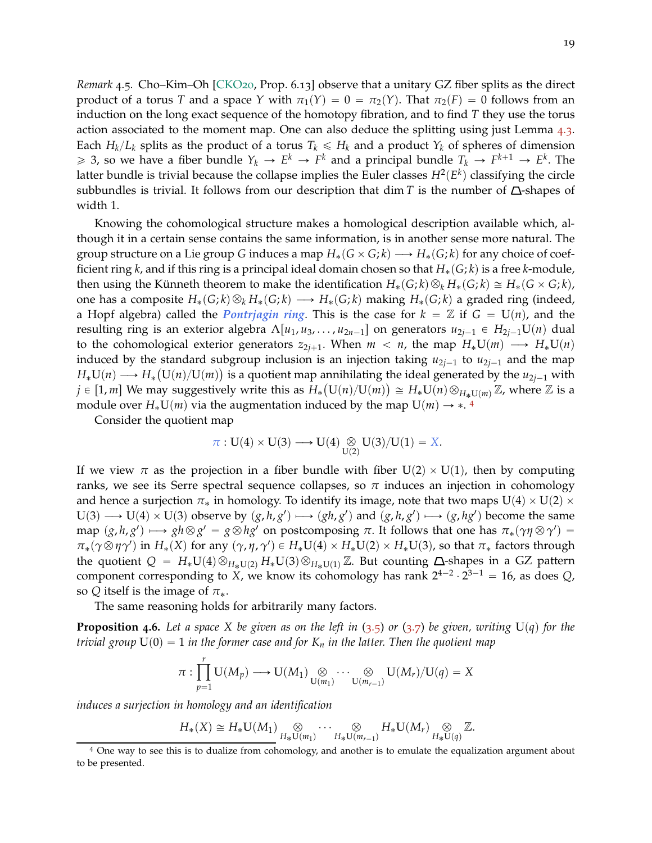*Remark* 4.5*.* Cho–Kim–Oh [\[CKO](#page-28-2)20, Prop. 6.13] observe that a unitary GZ fiber splits as the direct product of a torus *T* and a space *Y* with  $\pi_1(Y) = 0 = \pi_2(Y)$ . That  $\pi_2(F) = 0$  follows from an induction on the long exact sequence of the homotopy fibration, and to find *T* they use the torus action associated to the moment map. One can also deduce the splitting using just Lemma [4](#page-16-4).3. Each  $H_k/L_k$  splits as the product of a torus  $T_k \le H_k$  and a product  $Y_k$  of spheres of dimension  $\ge$  3, so we have a fiber bundle  $Y_k \to E^k \to F^k$  and a principal bundle  $T_k \to F^{k+1} \to E^k$ . The latter bundle is trivial because the collapse implies the Euler classes  $H^2(E^k)$  classifying the circle subbundles is trivial. It follows from our description that dim *T* is the number of  $\Delta$ -shapes of width 1.

Knowing the cohomological structure makes a homological description available which, although it in a certain sense contains the same information, is in another sense more natural. The group structure on a Lie group *G* induces a map  $H_*(G \times G; k) \longrightarrow H_*(G; k)$  for any choice of coefficient ring *k*, and if this ring is a principal ideal domain chosen so that  $H_*(G; k)$  is a free *k*-module, then using the Künneth theorem to make the identification  $H_*(G;k)\otimes_k H_*(G;k) \cong H_*(G\times G;k)$ , one has a composite  $H_*(G;k) \otimes_k H_*(G;k) \longrightarrow H_*(G;k)$  making  $H_*(G;k)$  a graded ring (indeed, a Hopf algebra) called the *Pontriagin ring*. This is the case for  $k = \mathbb{Z}$  if  $G = U(n)$ , and the resulting ring is an exterior algebra  $\Lambda[u_1, u_3, \ldots, u_{2n-1}]$  on generators  $u_{2i-1} \in H_{2i-1}U(n)$  dual to the cohomological exterior generators  $z_{2j+1}$ . When  $m < n$ , the map  $H_*U(m) \longrightarrow H_*U(n)$ induced by the standard subgroup inclusion is an injection taking  $u_{2i-1}$  to  $u_{2i-1}$  and the map  $H_*U(n) \longrightarrow H_*(U(n)/U(m))$  is a quotient map annihilating the ideal generated by the  $u_{2j-1}$  with  $j \in [1, m]$  We may suggestively write this as  $H_*(U(n)/U(m)) \cong H_*U(n) \otimes_{H_*U(m)} \mathbb{Z}$ , where  $\mathbb Z$  is a module over  $H_*U(m)$  via the augmentation induced by the map  $U(m) \rightarrow *$ .<sup>[4](#page-18-0)</sup>

Consider the quotient map

$$
\pi:U(4)\times U(3)\longrightarrow U(4)\underset{U(2)}{\otimes}U(3)/U(1)=X.
$$

If we view  $\pi$  as the projection in a fiber bundle with fiber U(2)  $\times$  U(1), then by computing ranks, we see its Serre spectral sequence collapses, so  $\pi$  induces an injection in cohomology and hence a surjection  $\pi_*$  in homology. To identify its image, note that two maps  $U(4) \times U(2) \times$  $U(3) \longrightarrow U(4) \times U(3)$  observe by  $(g, h, g') \longmapsto (gh, g')$  and  $(g, h, g') \longmapsto (g, hg')$  become the same  $\phi$   $p$   $(g, h, g') \mapsto gh \otimes g' = g \otimes hg'$  on postcomposing *π*. It follows that one has  $\pi_*(\gamma \eta \otimes \gamma') = g$  $\pi_*(\gamma \otimes \eta \gamma')$  in  $H_*(X)$  for any  $(\gamma, \eta, \gamma') \in H_*\mathbf{U}(4) \times H_*\mathbf{U}(2) \times H_*\mathbf{U}(3)$ , so that  $\pi_*$  factors through the quotient  $Q = H_*U(4) \otimes_{H_*U(2)} H_*U(3) \otimes_{H_*U(1)} \mathbb{Z}$ . But counting  $\Delta$ -shapes in a GZ pattern component corresponding to *X*, we know its cohomology has rank  $2^{4-2} \cdot 2^{3-1} = 16$ , as does *Q*, so *Q* itself is the image of  $\pi_*$ .

<span id="page-18-1"></span>The same reasoning holds for arbitrarily many factors.

**Proposition 4.6.** Let a space X be given as on the left in  $(3.5)$  $(3.5)$  $(3.5)$  or  $(3.7)$  be given, writing  $U(q)$  for the *trivial group*  $U(0) = 1$  *in the former case and for*  $K_n$  *in the latter. Then the quotient map* 

$$
\pi: \prod_{p=1}^r U(M_p) \longrightarrow U(M_1) \underset{U(m_1)}{\otimes} \cdots \underset{U(m_{r-1})}{\otimes} U(M_r)/U(q) = X
$$

*induces a surjection in homology and an identification*

$$
H_*(X) \cong H_*\mathsf{U}(M_1) \underset{H_*\mathsf{U}(m_1)}{\otimes} \cdots \underset{H_*\mathsf{U}(m_{r-1})}{\otimes} H_*\mathsf{U}(M_r) \underset{H_*\mathsf{U}(q)}{\otimes} \mathbb{Z}.
$$

<span id="page-18-0"></span><sup>4</sup> One way to see this is to dualize from cohomology, and another is to emulate the equalization argument about to be presented.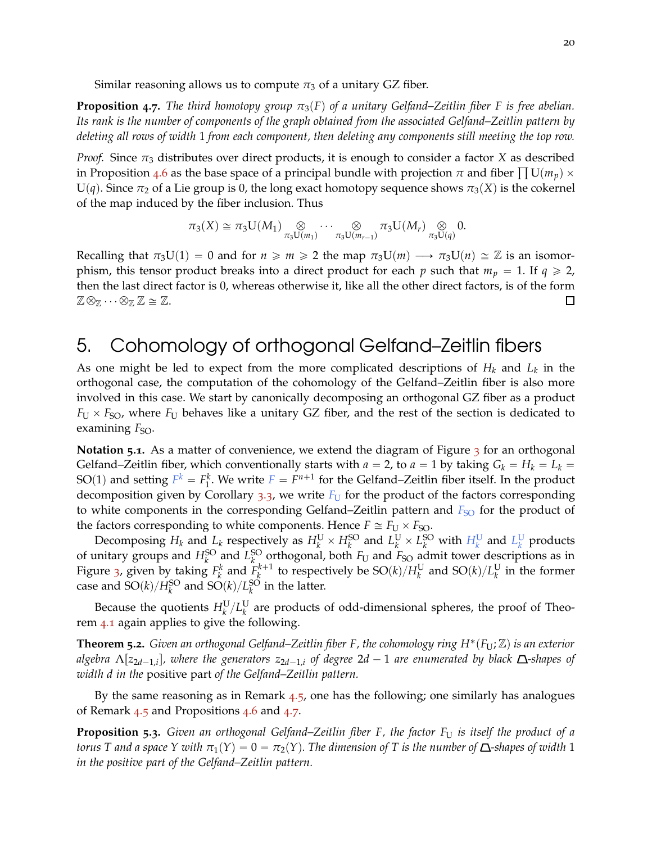<span id="page-19-0"></span>Similar reasoning allows us to compute  $\pi_3$  of a unitary GZ fiber.

**Proposition 4.7.** The third homotopy group  $\pi_3(F)$  of a unitary Gelfand–Zeitlin fiber F is free abelian. *Its rank is the number of components of the graph obtained from the associated Gelfand–Zeitlin pattern by deleting all rows of width* 1 *from each component, then deleting any components still meeting the top row.*

*Proof.* Since  $\pi_3$  distributes over direct products, it is enough to consider a factor *X* as described in Proposition [4](#page-18-1).6 as the base space of a principal bundle with projection  $\pi$  and fiber  $\prod U(m_p) \times$  $U(q)$ . Since  $\pi_2$  of a Lie group is 0, the long exact homotopy sequence shows  $\pi_3(X)$  is the cokernel of the map induced by the fiber inclusion. Thus

$$
\pi_3(X) \cong \pi_3 U(M_1) \underset{\pi_3 U(m_1)}{\otimes} \cdots \underset{\pi_3 U(m_{r-1})}{\otimes} \pi_3 U(M_r) \underset{\pi_3 U(q)}{\otimes} 0.
$$

Recalling that  $\pi_3 U(1) = 0$  and for  $n \geq m \geq 2$  the map  $\pi_3 U(m) \longrightarrow \pi_3 U(n) \cong \mathbb{Z}$  is an isomorphism, this tensor product breaks into a direct product for each *p* such that  $m_p = 1$ . If  $q \ge 2$ , then the last direct factor is 0, whereas otherwise it, like all the other direct factors, is of the form  $\mathbb{Z} \otimes_{\mathbb{Z}} \cdots \otimes_{\mathbb{Z}} \mathbb{Z} \cong \mathbb{Z}.$ П

# <span id="page-19-1"></span>5. Cohomology of orthogonal Gelfand–Zeitlin fibers

As one might be led to expect from the more complicated descriptions of *H<sup>k</sup>* and *L<sup>k</sup>* in the orthogonal case, the computation of the cohomology of the Gelfand–Zeitlin fiber is also more involved in this case. We start by canonically decomposing an orthogonal GZ fiber as a product  $F_U \times F_{SO}$ , where  $F_U$  behaves like a unitary GZ fiber, and the rest of the section is dedicated to examining *F<sub>SO</sub>*.

<span id="page-19-2"></span>**Notation 5.1.** As a matter of convenience, we extend the diagram of Figure [3](#page-5-0) for an orthogonal Gelfand–Zeitlin fiber, which conventionally starts with  $a = 2$ , to  $a = 1$  by taking  $G_k = H_k = L_k =$ SO(1) and setting  $F^k = F_1^k$ . We write  $F = F^{n+1}$  for the Gelfand–Zeitlin fiber itself. In the product decomposition given by Corollary  $3.3$  $3.3$ , we write  $F_U$  for the product of the factors corresponding to white components in the corresponding Gelfand–Zeitlin pattern and *F<sub>SO</sub>* for the product of the factors corresponding to white components. Hence  $F \cong F_U \times F_{SO}$ .

Decomposing  $H_k$  and  $L_k$  respectively as  $H_k^U \times H_k^{SO}$  and  $L_k^U \times L_k^{SO}$  with  $H_k^U$  and  $L_k^U$  products of unitary groups and  $H_k^{\text{SO}}$  and  $L_k^{\text{SO}}$  orthogonal, both  $F_U$  and  $F_{\text{SO}}$  admit tower descriptions as in Figure [3](#page-5-0), given by taking  $F_k^k$  and  $F_k^{k+1}$  $\frac{k+1}{k}$  to respectively be SO(*k*)/ $H^{\text{U}}_k$  and SO(*k*)/ $L^{\text{U}}_k$  in the former case and  $SO(k)/H_k^{\text{SO}}$  and  $SO(k)/L_k^{\text{SO}}$  in the latter.

Because the quotients  $H^{\text{U}}_k/L^{\text{U}}_k$  are products of odd-dimensional spheres, the proof of Theorem [4](#page-16-0).1 again applies to give the following.

**Theorem 5.2.** *Given an orthogonal Gelfand–Zeitlin fiber F, the cohomology ring H*˚ p*F*U;Zq *is an exterior*  $a$ lgebra  $\Lambda$ [ $z_{2d-1,i}$ ], where the generators  $z_{2d-1,i}$  of degree  $2d-1$  are enumerated by black  $\Delta$ -shapes of *width d in the* positive part *of the Gelfand–Zeitlin pattern.*

By the same reasoning as in Remark  $4.5$  $4.5$ , one has the following; one similarly has analogues of Remark [4](#page-17-0).5 and Propositions [4](#page-18-1).6 and [4](#page-19-0).7.

**Proposition 5.3.** Given an orthogonal Gelfand–Zeitlin fiber F, the factor  $F_U$  is itself the product of a *torus T and a space Y with*  $\pi_1(Y) = 0 = \pi_2(Y)$ . The dimension of T is the number of  $\Delta$ -shapes of width 1 *in the positive part of the Gelfand–Zeitlin pattern.*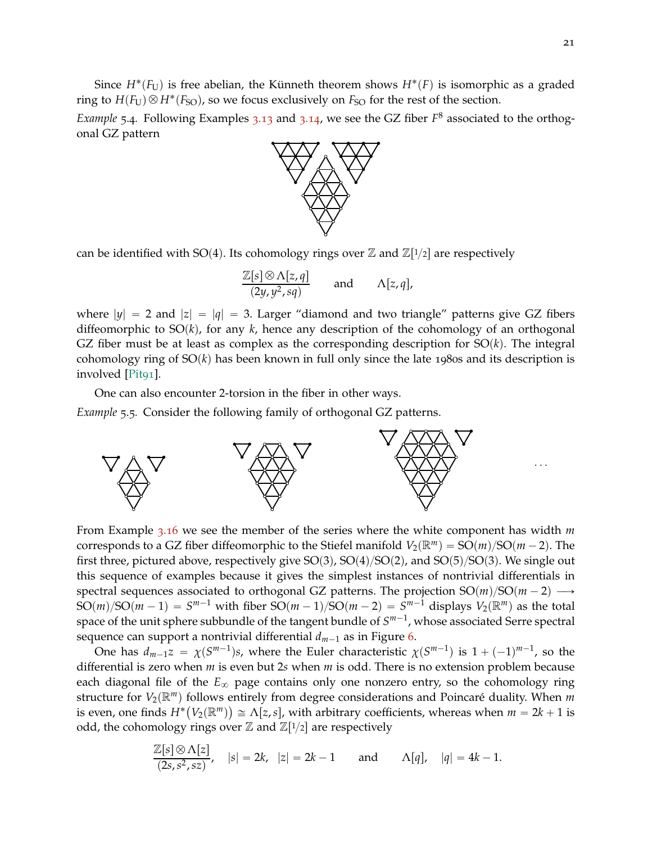<span id="page-20-1"></span>Since  $H^*(F_U)$  is free abelian, the Künneth theorem shows  $H^*(F)$  is isomorphic as a graded ring to  $H(F_U) \otimes H^*(F_{SO})$ , so we focus exclusively on  $F_{SO}$  for the rest of the section.

*Example* 5.4. Following Examples 3.[13](#page-14-3) and 3.[14](#page-14-1), we see the GZ fiber  $F^8$  associated to the orthogonal GZ pattern



can be identified with SO(4). Its cohomology rings over  $\mathbb Z$  and  $\mathbb Z[$ 1/2] are respectively

$$
\frac{\mathbb{Z}[s] \otimes \Lambda[z,q]}{(2y,y^2,sq)} \quad \text{and} \quad \Lambda[z,q],
$$

where  $|y| = 2$  and  $|z| = |q| = 3$ . Larger "diamond and two triangle" patterns give GZ fibers diffeomorphic to  $SO(k)$ , for any  $k$ , hence any description of the cohomology of an orthogonal GZ fiber must be at least as complex as the corresponding description for  $SO(k)$ . The integral cohomology ring of  $SO(k)$  has been known in full only since the late 1980s and its description is involved [\[Pit](#page-29-5)91].

<span id="page-20-0"></span>One can also encounter 2-torsion in the fiber in other ways.

*Example* 5.5*.* Consider the following family of orthogonal GZ patterns.



From Example 3.[16](#page-14-4) we see the member of the series where the white component has width *m* corresponds to a GZ fiber diffeomorphic to the Stiefel manifold  $V_2(\mathbb{R}^m) = SO(m)/SO(m-2)$ . The first three, pictured above, respectively give  $SO(3)$ ,  $SO(4)/SO(2)$ , and  $SO(5)/SO(3)$ . We single out this sequence of examples because it gives the simplest instances of nontrivial differentials in spectral sequences associated to orthogonal GZ patterns. The projection  $SO(m)/SO(m - 2) \longrightarrow$  $SO(m)/SO(m-1) = S^{m-1}$  with fiber  $SO(m-1)/SO(m-2) = S^{m-1}$  displays  $V_2(\mathbb{R}^m)$  as the total space of the unit sphere subbundle of the tangent bundle of  $S^{m-1}$ , whose associated Serre spectral sequence can support a nontrivial differential  $d_{m-1}$  as in Figure [6](#page-21-0).

One has  $d_{m-1}z = \chi(S^{m-1})s$ , where the Euler characteristic  $\chi(S^{m-1})$  is  $1 + (-1)^{m-1}$ , so the differential is zero when *m* is even but 2*s* when *m* is odd. There is no extension problem because each diagonal file of the  $E_{\infty}$  page contains only one nonzero entry, so the cohomology ring structure for  $V_2(\mathbb{R}^m)$  follows entirely from degree considerations and Poincaré duality. When *m* is even, one finds  $H^*(V_2(\mathbb{R}^m)) \cong \Lambda[z,s]$ , with arbitrary coefficients, whereas when  $m = 2k + 1$  is odd, the cohomology rings over  $\mathbb Z$  and  $\mathbb Z[1/2]$  are respectively

$$
\frac{\mathbb{Z}[s] \otimes \Lambda[z]}{(2s, s^2, sz)}, \quad |s| = 2k, \quad |z| = 2k - 1 \quad \text{and} \quad \Lambda[q], \quad |q| = 4k - 1.
$$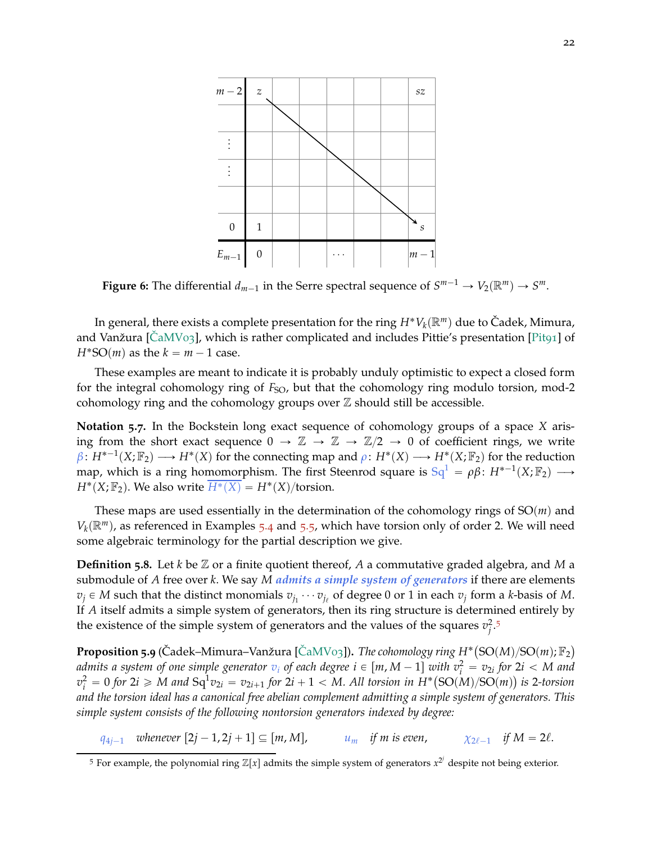<span id="page-21-0"></span>

**Figure 6:** The differential  $d_{m-1}$  in the Serre spectral sequence of  $S^{m-1} \to V_2(\mathbb{R}^m) \to S^m$ .

In general, there exists a complete presentation for the ring  $H^*V_k(\mathbb{R}^m)$  due to Čadek, Mimura, and Vanžura  $\left[\hat{C}aMV_{03}\right]$ , which is rather complicated and includes Pittie's presentation  $\left[\text{Pi}a_1\right]$  of  $H^*SO(m)$  as the  $k = m - 1$  case.

These examples are meant to indicate it is probably unduly optimistic to expect a closed form for the integral cohomology ring of  $F_{SO}$ , but that the cohomology ring modulo torsion, mod-2 cohomology ring and the cohomology groups over  $\mathbb Z$  should still be accessible.

**Notation 5.7.** In the Bockstein long exact sequence of cohomology groups of a space *X* arising from the short exact sequence  $0 \to \mathbb{Z} \to \mathbb{Z} \to \mathbb{Z}/2 \to 0$  of coefficient rings, we write  $\beta: H^{*-1}(X; \mathbb{F}_2) \longrightarrow H^*(X)$  for the connecting map and  $\rho: H^*(X) \longrightarrow H^*(X; \mathbb{F}_2)$  for the reduction map, which is a ring homomorphism. The first Steenrod square is  $\text{Sq}^1 = \rho \beta \colon H^{*-1}(X; \mathbb{F}_2) \longrightarrow$  $H^*(X; \mathbb{F}_2)$ . We also write  $\overline{H^*(X)} = H^*(X)/\text{torsion}$ .

These maps are used essentially in the determination of the cohomology rings of  $SO(m)$  and  $V_k(\mathbb{R}^m)$ , as referenced in Examples 5.[4](#page-20-1) and [5](#page-20-0).5, which have torsion only of order 2. We will need some algebraic terminology for the partial description we give.

**Definition 5.8.** Let *k* be Z or a finite quotient thereof, *A* a commutative graded algebra, and *M* a submodule of *A* free over *k*. We say *M admits a simple system of generators* if there are elements  $v_j \in M$  such that the distinct monomials  $v_{j_1} \cdots v_{j_\ell}$  of degree 0 or 1 in each  $v_j$  form a *k*-basis of *M*. If *A* itself admits a simple system of generators, then its ring structure is determined entirely by the existence of the simple system of generators and the values of the squares  $v_j^2$ .<sup>[5](#page-21-1)</sup>

<span id="page-21-2"></span> ${\bf Proposition 5.9}$  (Čadek–Mimura–Vanžura [ČaMV03]). *The cohomology ring H\**  $({\rm SO}(M)/{\rm SO}(m);{\mathbb F}_2)$ *admits a system of one simple generator*  $v_i$  *of each degree i*  $\in [m, M - 1]$  with  $v_i^2 = v_{2i}$  for 2*i*  $<$  *M and*  $v_i^2 = 0$  for  $2i \geqslant M$  and  $Sq^1v_{2i} = v_{2i+1}$  for  $2i+1 < M$ . All torsion in  $H^*(SO(M)/SO(m))$  is 2-torsion *and the torsion ideal has a canonical free abelian complement admitting a simple system of generators. This simple system consists of the following nontorsion generators indexed by degree:*

*q*<sub>4*j*-1</sub> *whenever*  $[2j - 1, 2j + 1] \subseteq [m, M]$ , *u*<sub>*m*</sub> *if m is even*,  $\chi_{2\ell-1}$  *if*  $M = 2\ell$ .

<span id="page-21-1"></span><sup>&</sup>lt;sup>5</sup> For example, the polynomial ring  $\mathbb{Z}[x]$  admits the simple system of generators  $x^{2j}$  despite not being exterior.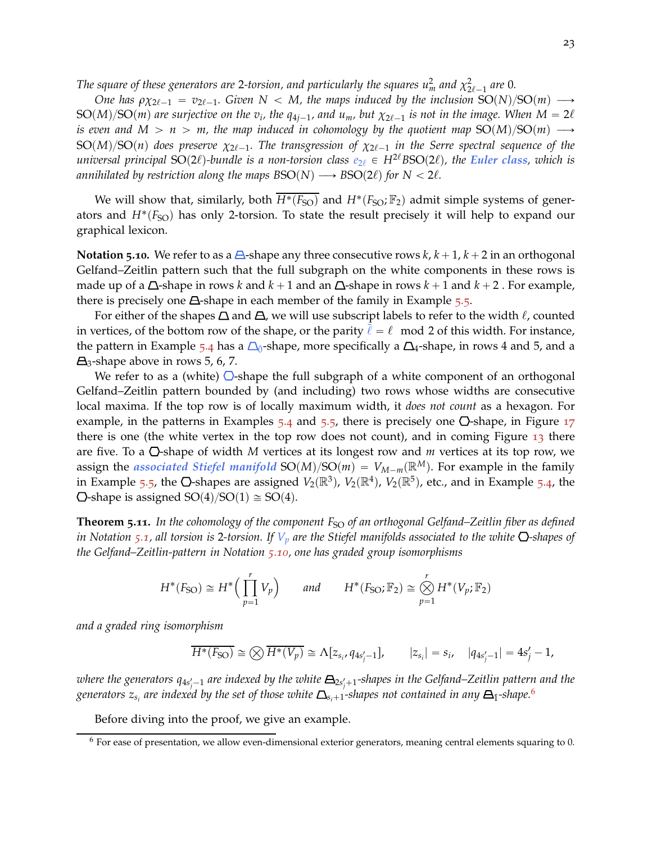*The square of these generators are 2-torsion, and particularly the squares*  $u_m^2$  *and*  $\chi^2_{2\ell - 1}$  *are 0.* 

*One has*  $\rho \chi_{2\ell-1} = v_{2\ell-1}$ *. Given*  $N < M$ *, the maps induced by the inclusion*  ${\rm SO}(N)/{\rm SO}(m)$   $\longrightarrow$  $SO(M)/SO(m)$  are surjective on the  $v_i$ , the  $q_{4j-1}$ , and  $u_m$ , but  $\chi_{2\ell-1}$  is not in the image. When  $M=2\ell$ *is even and*  $M > n > m$ , the map induced in cohomology by the quotient map SO(M)/SO(m)  $\longrightarrow$  ${\rm SO}(M)/{\rm SO}(n)$  does preserve  $\chi_{2\ell-1}.$  The transgression of  $\chi_{2\ell-1}$  in the Serre spectral sequence of the *universal principal* SO(2 $\ell$ )-bundle is a non-torsion class  $e_{2\ell} \in H^{2\ell}$ BSO(2 $\ell$ ), the *Euler class*, which is *annihilated by restriction along the maps*  $BSO(N) \longrightarrow BSO(2\ell)$  *for*  $N < 2\ell$ *.* 

We will show that, similarly, both  $\overline{H^*(F_{SO})}$  and  $H^*(F_{SO}; \mathbb{F}_2)$  admit simple systems of generators and  $H^*(F_{SO})$  has only 2-torsion. To state the result precisely it will help to expand our graphical lexicon.

<span id="page-22-1"></span>**Notation 5.10.** We refer to as a  $\triangle$ -shape any three consecutive rows  $k, k+1, k+2$  in an orthogonal Gelfand–Zeitlin pattern such that the full subgraph on the white components in these rows is made up of a  $\Delta$ -shape in rows *k* and  $k + 1$  and an  $\Delta$ -shape in rows  $k + 1$  and  $k + 2$ . For example, there is precisely one  $\triangle$ -shape in each member of the family in Example [5](#page-20-0).5.

For either of the shapes  $\Delta$  and  $\Delta$ , we will use subscript labels to refer to the width  $\ell$ , counted in vertices, of the bottom row of the shape, or the parity  $\ell = \ell \mod 2$  of this width. For instance, the pattern in Example [5](#page-20-1).4 has a  $\Delta_0$ -shape, more specifically a  $\Delta_4$ -shape, in rows 4 and 5, and a  $\Delta$ <sub>3</sub>-shape above in rows 5, 6, 7.

We refer to as a (white)  $\bigcirc$ -shape the full subgraph of a white component of an orthogonal Gelfand–Zeitlin pattern bounded by (and including) two rows whose widths are consecutive local maxima. If the top row is of locally maximum width, it *does not count* as a hexagon. For example, in the patterns in Examples  $5.4$  $5.4$  and  $5.5$ , there is precisely one  $\overline{O}$ -shape, in Figure [17](#page-9-0) there is one (the white vertex in the top row does not count), and in coming Figure [13](#page-23-0) there are five. To a  $\bigcirc$ -shape of width *M* vertices at its longest row and *m* vertices at its top row, we assign the *associated Stiefel manifold*  $SO(M)/SO(m) = V_{M-m}(\mathbb{R}^M)$ . For example in the family in Example [5](#page-20-1).5, the  $\bigcirc$ -shapes are assigned  $V_2(\mathbb{R}^3)$ ,  $V_2(\mathbb{R}^4)$ ,  $V_2(\mathbb{R}^5)$ , etc., and in Example 5.4, the  $\Delta$ -shape is assigned SO(4)/SO(1)  $\cong$  SO(4).

<span id="page-22-0"></span>**Theorem 5.11.** In the cohomology of the component F<sub>SO</sub> of an orthogonal Gelfand–Zeitlin fiber as defined *in Notation* [5](#page-19-2).1, all torsion is 2-torsion. If  $V_p$  are the Stiefel manifolds associated to the white  $\Omega$ -shapes of *the Gelfand–Zeitlin-pattern in Notation 5.[10](#page-22-1), one has graded group isomorphisms*

$$
H^*(F_{\text{SO}}) \cong H^*\Big(\prod_{p=1}^r V_p\Big) \qquad \text{and} \qquad H^*(F_{\text{SO}}; \mathbb{F}_2) \cong \bigotimes_{p=1}^r H^*(V_p; \mathbb{F}_2)
$$

*and a graded ring isomorphism*

$$
\overline{H^*(F_{SO})} \cong \bigotimes \overline{H^*(V_p)} \cong \Lambda[z_{s_i}, q_{4s'_j-1}], \qquad |z_{s_i}| = s_i, \quad |q_{4s'_j-1}| = 4s'_j - 1,
$$

where the generators q<sub>4s',—1</sub> are indexed by the white  $\pmb{\Xi}_{2s_i'+1}$ -shapes in the Gelfand–Zeitlin pattern and the generators  $z_{s_i}$  are indexed by the set of those white  $\Delta_{s_i+1}$ -shapes not contained in any  $\bm{\Xi}_{\bar{1}}$ -shape. $^6$  $^6$ 

Before diving into the proof, we give an example.

<span id="page-22-2"></span> $6$  For ease of presentation, we allow even-dimensional exterior generators, meaning central elements squaring to 0.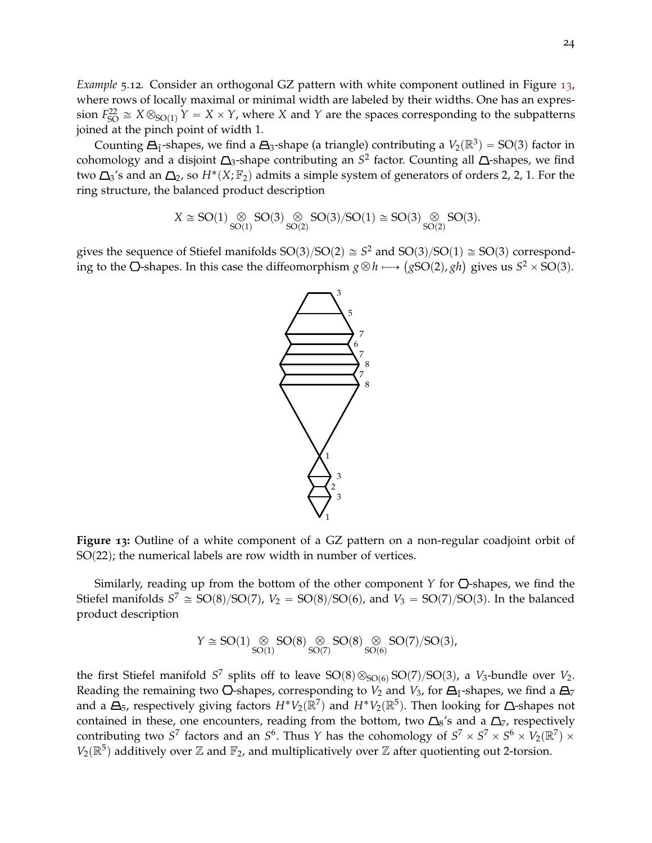*Example* 5.12*.* Consider an orthogonal GZ pattern with white component outlined in Figure [13](#page-23-0), where rows of locally maximal or minimal width are labeled by their widths. One has an expres- $F_{SO}^{22} \cong X \otimes_{SO(1)} Y = X \times Y$ , where *X* and *Y* are the spaces corresponding to the subpatterns joined at the pinch point of width 1.

Counting  $\Delta_{\bar{1}}$ -shapes, we find a  $\Delta_3$ -shape (a triangle) contributing a  $V_2(\mathbb{R}^3) = SO(3)$  factor in cohomology and a disjoint  $\Delta_3$ -shape contributing an  $S^2$  factor. Counting all  $\Delta$ -shapes, we find two  $\Delta_3$ 's and an  $\Delta_2$ , so  $H^*(X; \mathbb{F}_2)$  admits a simple system of generators of orders 2, 2, 1. For the ring structure, the balanced product description

$$
X\cong SO(1)\underset{SO(1)}{\otimes} SO(3)\underset{SO(2)}{\otimes} SO(3)/SO(1)\cong SO(3)\underset{SO(2)}{\otimes} SO(3).
$$

<span id="page-23-0"></span>gives the sequence of Stiefel manifolds  $SO(3)/SO(2) \cong S^2$  and  $SO(3)/SO(1) \cong SO(3)$  corresponding to the  $\overline{O}$ -shapes. In this case the diffeomorphism  $g \otimes h \longrightarrow (gSO(2), gh)$  gives us  $S^2 \times SO(3)$ .



**Figure 13:** Outline of a white component of a GZ pattern on a non-regular coadjoint orbit of  $SO(22)$ ; the numerical labels are row width in number of vertices.

Similarly, reading up from the bottom of the other component  $Y$  for  $\mathbb{O}$ -shapes, we find the Stiefel manifolds  $S^7 \cong SO(8)/SO(7)$ ,  $V_2 = SO(8)/SO(6)$ , and  $V_3 = SO(7)/SO(3)$ . In the balanced product description

$$
Y \cong SO(1) \underset{SO(1)}{\otimes} SO(8) \underset{SO(7)}{\otimes} SO(8) \underset{SO(6)}{\otimes} SO(7)/SO(3),
$$

the first Stiefel manifold  $S^7$  splits off to leave  $SO(8) \otimes_{SO(6)} SO(7)/SO(3)$ , a *V*<sub>3</sub>-bundle over *V*<sub>2</sub>. Reading the remaining two  $\overline{O}$ -shapes, corresponding to  $V_2$  and  $V_3$ , for  $\overline{A_1}$ -shapes, we find a  $\overline{A_7}$ and a  $\Delta_5$ , respectively giving factors  $H^*V_2(\mathbb{R}^7)$  and  $H^*V_2(\mathbb{R}^5).$  Then looking for  $\Delta$ -shapes not contained in these, one encounters, reading from the bottom, two  $\Delta_8$ 's and a  $\Delta_7$ , respectively contributing two  $S^7$  factors and an  $S^6.$  Thus  $Y$  has the cohomology of  $S^7\times S^7\times S^6\times V_2(\R^7)\times$  $V_2(\mathbb{R}^5)$  additively over  $\mathbb Z$  and  $\mathbb F_2$ , and multiplicatively over  $\mathbb Z$  after quotienting out 2-torsion.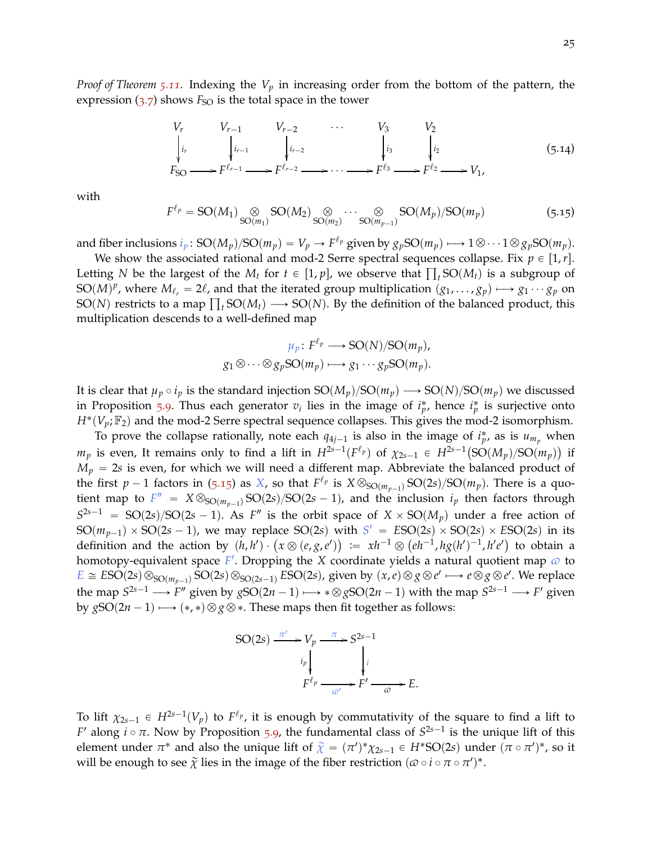*Proof of Theorem 5.[11](#page-22-0).* Indexing the *V<sup>p</sup>* in increasing order from the bottom of the pattern, the expression  $(3.7)$  $(3.7)$  $(3.7)$  shows  $F_{SO}$  is the total space in the tower

$$
V_r \t V_{r-1} \t V_{r-2} \t V_3 \t V_2
$$
  
\n
$$
\downarrow_{i_r} \t \downarrow_{i_{r-1}} \t \downarrow_{i_{r-2}} \t \downarrow_{i_3} \t \downarrow_{i_2}
$$
  
\n
$$
F_{SO} \t F^{\ell_{r-1}} \t F^{\ell_{r-2}} \t \to \t \cdots \t F^{\ell_3} \t F^{\ell_2} \t F^{\ell_2} \t \to V_1,
$$
  
\n(5.14)

with

<span id="page-24-0"></span>
$$
F^{\ell_p} = SO(M_1) \underset{SO(m_1)}{\otimes} SO(M_2) \underset{SO(m_2)}{\otimes} \cdots \underset{SO(m_{p-1})}{\otimes} SO(M_p)/SO(m_p)
$$
(5.15)

and fiber inclusions  $i_p$ :  $SO(M_p)/SO(m_p) = V_p \rightarrow F^{\ell_p}$  given by  $g_pSO(m_p) \longmapsto 1 \otimes \cdots 1 \otimes g_pSO(m_p)$ .

We show the associated rational and mod-2 Serre spectral sequences collapse. Fix  $p \in [1, r]$ . Letting *N* be the largest of the  $M_t$  for  $t \in [1, p]$ , we observe that  $\prod_t SO(M_t)$  is a subgroup of SO $(M)^p$ , where  $M_{\ell_r} = 2\ell$ , and that the iterated group multiplication  $(g_1, \ldots, g_p) \longmapsto g_1 \cdots g_p$  on  $SO(N)$  restricts to a map  $\prod_t SO(M_t) \longrightarrow SO(N)$ . By the definition of the balanced product, this multiplication descends to a well-defined map

$$
\mu_p \colon F^{\ell_p} \longrightarrow SO(N)/SO(m_p),
$$
  

$$
g_1 \otimes \cdots \otimes g_p SO(m_p) \longmapsto g_1 \cdots g_p SO(m_p).
$$

It is clear that  $\mu_p \circ i_p$  is the standard injection  $SO(M_p)/SO(m_p) \longrightarrow SO(N)/SO(m_p)$  we discussed in Proposition [5](#page-21-2).9. Thus each generator  $v_i$  lies in the image of  $i_p^*$ , hence  $i_p^*$  is surjective onto  $H^*(V_p; \mathbb{F}_2)$  and the mod-2 Serre spectral sequence collapses. This gives the mod-2 isomorphism.

To prove the collapse rationally, note each  $q_{4j-1}$  is also in the image of  $i_p^*$ , as is  $u_{m_p}$  when *m*<sub>*p*</sub> is even, It remains only to find a lift in  $H^{2s-1}(F^{\ell_p})$  of  $\chi_{2s-1} \in H^{2s-1}(\mathrm{SO}(M_p)/\mathrm{SO}(m_p))$  if  $M_p = 2s$  is even, for which we will need a different map. Abbreviate the balanced product of the first  $p-1$  factors in (5.[15](#page-24-0)) as *X*, so that  $F^{\ell_p}$  is  $X \otimes_{SO(m_{p-1})} SO(2s)/SO(m_p)$ . There is a quotient map to  $F'' = X \otimes_{SO(m_{p-1})} SO(2s)/SO(2s-1)$ , and the inclusion  $i_p$  then factors through  $S^{2s-1}$  = SO(2*s*)/SO(2*s* - 1). As *F*<sup>n</sup> is the orbit space of  $X \times$  SO( $M_p$ ) under a free action of  $SO(m_{p-1}) \times SO(2s-1)$ , we may replace  $SO(2s)$  with  $S' = ESO(2s) \times SO(2s) \times ESO(2s)$  in its definition and the action by  $(h, h') \cdot (x \otimes (e, g, e')) := xh^{-1} \otimes (eh^{-1}, hg(h')^{-1}, h'e')$  to obtain a homotopy-equivalent space *F'*. Dropping the *X* coordinate yields a natural quotient map  $\omega$  to  $E \cong ESO(2s)\otimes_{SO(m_{p-1})}SO(2s)\otimes_{SO(2s-1)}ESO(2s)$ , given by  $(x,e)\otimes g\otimes e'\longmapsto e\otimes g\otimes e'.$  We replace the map  $S^{2s-1} \longrightarrow F''$  given by  $gSO(2n-1) \longmapsto * \otimes gSO(2n-1)$  with the map  $S^{2s-1} \longrightarrow F'$  given by  $gSO(2n-1) \longrightarrow (*, *) \otimes g \otimes *$ . These maps then fit together as follows:

$$
SO(2s) \xrightarrow{\pi'} V_p \xrightarrow{\pi} S^{2s-1}
$$
\n
$$
i_p \downarrow \qquad \qquad i_p
$$
\n
$$
F^{\ell_p} \xrightarrow{\alpha'} F' \xrightarrow{\alpha} E.
$$

To lift  $\chi_{2s-1} \in H^{2s-1}(V_p)$  to  $F^{\ell_p}$ , it is enough by commutativity of the square to find a lift to *F*<sup> $\prime$ </sup> along *i*  $\circ$  *π*. Now by Proposition 5.[9](#page-21-2), the fundamental class of  $S^{2s-1}$  is the unique lift of this element under  $\pi^*$  and also the unique lift of  $\tilde{\chi} = (\pi')^* \chi_{2s-1} \in H^*SO(2s)$  under  $(\pi \circ \pi')^*$ , so it will be enough to see  $\widetilde{\chi}$  lies in the image of the fiber restriction  $(\varpi \circ i \circ \pi \circ \pi')^*$ .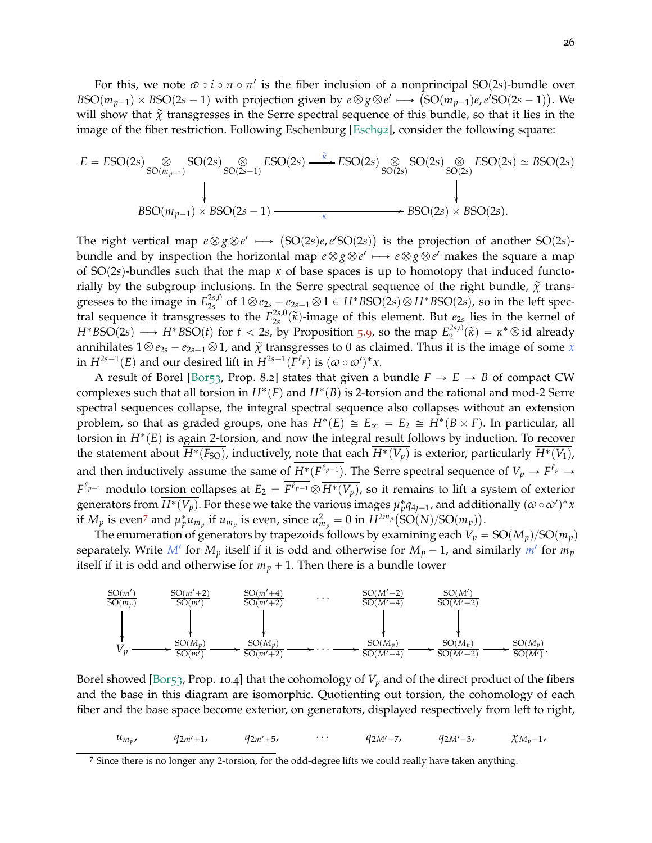For this, we note  $\omega \circ i \circ \pi \circ \pi'$  is the fiber inclusion of a nonprincipal SO(2s)-bundle over  $BSO(m_{p-1}) \times BSO(2s-1)$  with projection given by  $e \otimes g \otimes e' \longmapsto (SO(m_{p-1})e, e'SO(2s-1))$ . We will show that  $\tilde{\chi}$  transgresses in the Serre spectral sequence of this bundle, so that it lies in the image of the fiber restriction. Following Eschenburg [\[Esch](#page-28-14)92], consider the following square:

$$
E = ESO(2s) \underset{SO(m_{p-1})}{\otimes} SO(2s) \underset{SO(2s-1)}{\otimes} ESO(2s) \xrightarrow{\widetilde{\kappa}} ESO(2s) \underset{SO(2s)}{\otimes} SO(2s) \underset{SO(2s)}{\otimes} ESO(2s) \simeq BSO(2s) \simeq BSO(2s)
$$
  
 
$$
BSO(m_{p-1}) \times BSO(2s-1) \xrightarrow{\kappa} BSO(2s) \times BSO(2s).
$$

The right vertical map  $e \otimes g \otimes e' \longrightarrow (SO(2s)e,e'SO(2s))$  is the projection of another  $SO(2s)$ bundle and by inspection the horizontal map  $e \otimes g \otimes e' \longmapsto e \otimes g \otimes e'$  makes the square a map of SO(2*s*)-bundles such that the map  $\kappa$  of base spaces is up to homotopy that induced functorially by the subgroup inclusions. In the Serre spectral sequence of the right bundle,  $\tilde{\chi}$  transgresses to the image in  $E_{2s}^{2s,0}$  $2^{25,0}_{25}$  of  $1 \otimes e_{25} - e_{25-1} \otimes 1 \in H^*BSO(2s) \otimes H^*BSO(2s)$ , so in the left spectral sequence it transgresses to the  $E_{2s}^{2s,0}$  $\chi^{25,0}_{25}(\tilde{\kappa})$ -image of this element. But  $e_{2s}$  lies in the kernel of  $H^*BSO(2s) \longrightarrow H^*BSO(t)$  for  $t < 2s$ , by Proposition [5](#page-21-2).9, so the map  $E_2^{2s,0}$  $\chi_2^{2s,0}(\widetilde{\kappa}) = \kappa^* \otimes \text{id}$  already annihilates  $1 \otimes e_{2s} - e_{2s-1} \otimes 1$ , and  $\tilde{\chi}$  transgresses to 0 as claimed. Thus it is the image of some *x* in  $H^{2s-1}(E)$  and our desired lift in  $H^{2s-1}(F^{\ell_p})$  is  $(\omega \circ \omega')^*x$ .

A result of Borel [\[Bor](#page-28-15)<sub>53</sub>, Prop. 8.2] states that given a bundle  $F \rightarrow E \rightarrow B$  of compact CW complexes such that all torsion in  $H^*(F)$  and  $H^*(B)$  is 2-torsion and the rational and mod-2 Serre spectral sequences collapse, the integral spectral sequence also collapses without an extension problem, so that as graded groups, one has  $H^*(E) \cong E_{\infty} = E_2 \cong H^*(B \times F)$ . In particular, all torsion in  $H^*(E)$  is again 2-torsion, and now the integral result follows by induction. To recover the statement about  $\overline{H^*(F_{SO})}$ , inductively, note that each  $\overline{H^*(V_p)}$  is exterior, particularly  $\overline{H^*(V_1)}$ , and then inductively assume the same of  $\overline{H^*(F^{\ell_{p-1}})}$ . The Serre spectral sequence of  $V_p \to F^{\ell_p} \to F^{\ell_p}$  $F^{\ell_{p-1}}$  modulo torsion collapses at  $E_2 = \overline{F^{\ell_{p-1}}} \otimes \overline{H^*(V_p)}$ , so it remains to lift a system of exterior generators from  $\overline{H^*(V_p)}$ . For these we take the various images  $\mu_p^*q_{4j-1}$ , and additionally  $(\varpi \circ \varpi')^*x$ if  $M_p$  is even<sup>[7](#page-25-0)</sup> and  $\mu_p^* u_{m_p}$  if  $u_{m_p}$  is even, since  $u_{m_p}^2 = 0$  in  $H^{2m_p}(\text{SO}(N)/\text{SO}(m_p)).$ 

The enumeration of generators by trapezoids follows by examining each  $V_p = SO(M_p)/SO(m_p)$ separately. Write  $M'$  for  $M_p$  itself if it is odd and otherwise for  $M_p - 1$ , and similarly  $m'$  for  $m_p$ itself if it is odd and otherwise for  $m_p + 1$ . Then there is a bundle tower



Borel showed [\[Bor](#page-28-15)<sub>53</sub>, Prop. 10.4] that the cohomology of  $V_p$  and of the direct product of the fibers and the base in this diagram are isomorphic. Quotienting out torsion, the cohomology of each fiber and the base space become exterior, on generators, displayed respectively from left to right,

$$
u_{m_p}, \t q_{2m'+1}, \t q_{2m'+5}, \t \cdots \t q_{2M'-7}, \t q_{2M'-3}, \t \chi_{M_p-1},
$$

<span id="page-25-0"></span><sup>7</sup> Since there is no longer any 2-torsion, for the odd-degree lifts we could really have taken anything.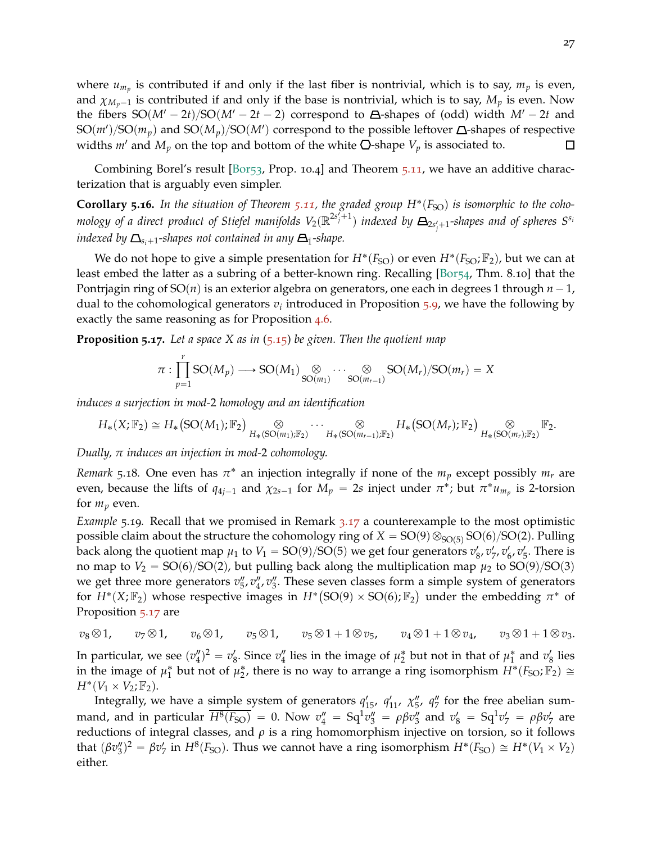where  $u_{m_p}$  is contributed if and only if the last fiber is nontrivial, which is to say,  $m_p$  is even, and  $\chi_{M_n-1}$  is contributed if and only if the base is nontrivial, which is to say,  $M_p$  is even. Now the fibers  $SO(M'-2t)/SO(M'-2t-2)$  correspond to  $\Delta$ -shapes of (odd) width  $M'-2t$  and  ${\rm SO}(m')/{\rm SO}(m_p)$  and  ${\rm SO}(M_p)/{\rm SO}(M')$  correspond to the possible leftover  $\Delta$ -shapes of respective widths  $m'$  and  $M_p$  on the top and bottom of the white  $\bigcirc$ -shape  $V_p$  is associated to.  $\Box$ 

Combining Borel's result [\[Bor](#page-28-15)53, Prop. 10.4] and Theorem 5.[11](#page-22-0), we have an additive characterization that is arguably even simpler.

**Corollary 5.16.** In the situation of Theorem 5.[11](#page-22-0), the graded group  $H^*(F_{SO})$  is isomorphic to the cohomology of a direct product of Stiefel manifolds  $V_2(\mathbb{R}^{2s'_j+1})$  indexed by  $\bm{\Xi}_{2s'_j+1}$ -shapes and of spheres  $S^{s_i}$ *indexed by*  $\Delta_{s,+1}$ -shapes not contained in any  $\Delta_{\bar{1}}$ -shape.

We do not hope to give a simple presentation for  $H^*(F_{\text{SO}})$  or even  $H^*(F_{\text{SO}}; \mathbb{F}_2)$ , but we can at least embed the latter as a subring of a better-known ring. Recalling [\[Bor](#page-28-16)54, Thm. 8.10] that the Pontriagin ring of  $SO(n)$  is an exterior algebra on generators, one each in degrees 1 through  $n - 1$ , dual to the cohomological generators *v<sup>i</sup>* introduced in Proposition [5](#page-21-2).9, we have the following by exactly the same reasoning as for Proposition [4](#page-18-1).6.

<span id="page-26-1"></span>**Proposition 5.17.** *Let a space X as in* (5.[15](#page-24-0)) *be given. Then the quotient map*

$$
\pi: \prod_{p=1}^r SO(M_p) \longrightarrow SO(M_1) \underset{SO(m_1)}{\otimes} \cdots \underset{SO(m_{r-1})}{\otimes} SO(M_r)/SO(m_r) = X
$$

*induces a surjection in mod-*2 *homology and an identification*

$$
H_*(X;\mathbb{F}_2) \cong H_*\big(\text{SO}(M_1);\mathbb{F}_2\big) \underset{H_*(\text{SO}(m_1);\mathbb{F}_2)}{\otimes} \cdots \underset{H_*(\text{SO}(m_{r-1});\mathbb{F}_2)}{\otimes} H_*\big(\text{SO}(M_r);\mathbb{F}_2\big) \underset{H_*(\text{SO}(m_r);\mathbb{F}_2)}{\otimes} \mathbb{F}_2.
$$

*Dually, π induces an injection in mod-*2 *cohomology.*

*Remark* 5.18. One even has  $\pi^*$  an injection integrally if none of the  $m_p$  except possibly  $m_r$  are even, because the lifts of  $q_{4j-1}$  and  $\chi_{2s-1}$  for  $M_p = 2s$  inject under  $\pi^*$ ; but  $\pi^* u_{m_p}$  is 2-torsion for  $m_p$  even.

<span id="page-26-0"></span>*Example* 5.19*.* Recall that we promised in Remark 3.[17](#page-15-1) a counterexample to the most optimistic possible claim about the structure the cohomology ring of  $X = SO(9) \otimes_{SO(5)} SO(6)/SO(2)$ . Pulling back along the quotient map  $\mu_1$  to  $V_1 = SO(9)/SO(5)$  we get four generators  $v'_8$ ,  $v'_7$ ,  $v'_6$ ,  $v'_5$ . There is no map to  $V_2 = SO(6)/SO(2)$ , but pulling back along the multiplication map  $\mu_2$  to  $SO(9)/SO(3)$ we get three more generators  $v''_5$ ,  $v''_4$ ,  $v''_3$ . These seven classes form a simple system of generators for  $H^*(X; \mathbb{F}_2)$  whose respective images in  $H^*(SO(9) \times SO(6); \mathbb{F}_2)$  under the embedding  $\pi^*$  of Proposition 5.[17](#page-26-1) are

$$
v_8 \otimes 1, \qquad v_7 \otimes 1, \qquad v_6 \otimes 1, \qquad v_5 \otimes 1, \qquad v_5 \otimes 1 + 1 \otimes v_5, \qquad v_4 \otimes 1 + 1 \otimes v_4, \qquad v_3 \otimes 1 + 1 \otimes v_3.
$$

In particular, we see  $(v''_4)^2 = v'_8$ . Since  $v''_4$  lies in the image of  $\mu_2^*$  but not in that of  $\mu_1^*$  and  $v'_8$  lies in the image of  $\mu_1^*$  but not of  $\mu_2^*$ , there is no way to arrange a ring isomorphism  $H^*(F_{SO}; \mathbb{F}_2) \cong$  $H^*(V_1 \times V_2; \mathbb{F}_2).$ 

Integrally, we have a simple system of generators  $q'_{15}$ ,  $q'_{11}$ ,  $\chi''_5$ ,  $q''_7$  for the free abelian summand, and in particular  $\overline{H^8(F_{SO})} = 0$ . Now  $v_4'' = Sq^1v_3'' = \rho \beta v_3''$  and  $v_8' = Sq^1v_7' = \rho \beta v_7'$  are reductions of integral classes, and *ρ* is a ring homomorphism injective on torsion, so it follows that  $(\beta v''_3)^2 = \beta v'_7$  in  $H^8(F_{SO})$ . Thus we cannot have a ring isomorphism  $H^*(F_{SO}) \cong H^*(V_1 \times V_2)$ either.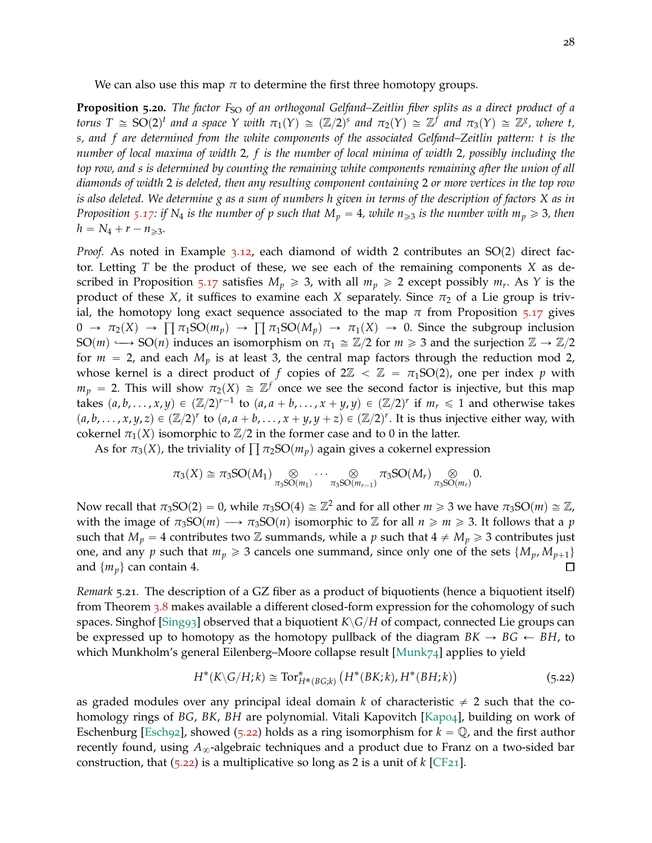<span id="page-27-0"></span>We can also use this map  $\pi$  to determine the first three homotopy groups.

**Proposition 5.20.** *The factor*  $F_{SO}$  *of an orthogonal Gelfand–Zeitlin fiber splits as a direct product of a torus*  $T \cong SO(2)^t$  and a space Y with  $\pi_1(Y) \cong (\mathbb{Z}/2)^s$  and  $\pi_2(Y) \cong \mathbb{Z}^f$  and  $\pi_3(Y) \cong \mathbb{Z}^g$ , where t, *s, and f are determined from the white components of the associated Gelfand–Zeitlin pattern: t is the number of local maxima of width* 2*, f is the number of local minima of width* 2*, possibly including the top row, and s is determined by counting the remaining white components remaining after the union of all diamonds of width* 2 *is deleted, then any resulting component containing* 2 *or more vertices in the top row is also deleted. We determine g as a sum of numbers h given in terms of the description of factors X as in Proposition* 5.[17](#page-26-1): if N<sub>4</sub> is the number of p such that  $M_p = 4$ , while  $n_{\geq 3}$  is the number with  $m_p \geq 3$ , then  $h = N_4 + r - n_{\geqslant 3}$ .

*Proof.* As noted in Example  $3.12$  $3.12$ , each diamond of width 2 contributes an  $SO(2)$  direct factor. Letting *T* be the product of these, we see each of the remaining components *X* as de-scribed in Proposition 5.[17](#page-26-1) satisfies  $M_p \geq 3$ , with all  $m_p \geq 2$  except possibly  $m_r$ . As Y is the product of these *X*, it suffices to examine each *X* separately. Since  $\pi_2$  of a Lie group is trivial, the homotopy long exact sequence associated to the map  $\pi$  from Proposition 5.[17](#page-26-1) gives  $0 \to \pi_2(X) \to \Pi \pi_1SO(m_p) \to \Pi \pi_1SO(M_p) \to \pi_1(X) \to 0$ . Since the subgroup inclusion SO $(m) \longrightarrow SO(n)$  induces an isomorphism on  $\pi_1 \cong \mathbb{Z}/2$  for  $m \geq 3$  and the surjection  $\mathbb{Z} \to \mathbb{Z}/2$ for  $m = 2$ , and each  $M_p$  is at least 3, the central map factors through the reduction mod 2, whose kernel is a direct product of *f* copies of  $2\mathbb{Z} < \mathbb{Z} = \pi_1SO(2)$ , one per index *p* with  $m_p$  = 2. This will show  $\pi_2(X) \,\cong\, \mathbb{Z}^f$  once we see the second factor is injective, but this map takes  $(a, b, \ldots, x, y) \in (\mathbb{Z}/2)^{r-1}$  to  $(a, a + b, \ldots, x + y, y) \in (\mathbb{Z}/2)^{r}$  if  $m_r \leq 1$  and otherwise takes  $(a, b, \ldots, x, y, z) \in (\mathbb{Z}/2)^r$  to  $(a, a + b, \ldots, x + y, y + z) \in (\mathbb{Z}/2)^r$ . It is thus injective either way, with cokernel  $\pi_1(X)$  isomorphic to  $\mathbb{Z}/2$  in the former case and to 0 in the latter.

As for  $\pi_3(X)$ , the triviality of  $\prod \pi_2SO(m_p)$  again gives a cokernel expression

$$
\pi_3(X) \cong \pi_3SO(M_1) \underset{\pi_3SO(m_1)}{\otimes} \cdots \underset{\pi_3SO(m_{r-1})}{\otimes} \pi_3SO(M_r) \underset{\pi_3SO(m_r)}{\otimes} 0.
$$

Now recall that  $\pi_3SO(2) = 0$ , while  $\pi_3SO(4) \cong \mathbb{Z}^2$  and for all other  $m \geq 3$  we have  $\pi_3SO(m) \cong \mathbb{Z}$ , with the image of  $\pi_3SO(m) \longrightarrow \pi_3SO(n)$  isomorphic to Z for all  $n \ge m \ge 3$ . It follows that a *p* such that  $M_p = 4$  contributes two Z summands, while a p such that  $4 \neq M_p \geq 3$  contributes just one, and any *p* such that  $m_p \geq 3$  cancels one summand, since only one of the sets  $\{M_p, M_{p+1}\}\$ and  $\{m_p\}$  can contain 4.  $\Box$ 

*Remark* 5.21*.* The description of a GZ fiber as a product of biquotients (hence a biquotient itself) from Theorem [3](#page-13-0).8 makes available a different closed-form expression for the cohomology of such spaces. Singhof [\[Sing](#page-29-6)93] observed that a biquotient  $K\backslash G/H$  of compact, connected Lie groups can be expressed up to homotopy as the homotopy pullback of the diagram  $BK \rightarrow BG \leftarrow BH$ , to which Munkholm's general Eilenberg–Moore collapse result [\[Munk](#page-29-7)74] applies to yield

<span id="page-27-1"></span>
$$
H^*(K\backslash G/H;k) \cong \text{Tor}^*_{H^*(BG;k)}\left(H^*(BK;k), H^*(BH;k)\right) \tag{5.22}
$$

as graded modules over any principal ideal domain *k* of characteristic  $\neq$  2 such that the cohomology rings of *BG*, *BK*, *BH* are polynomial. Vitali Kapovitch [\[Kap](#page-29-8)04], building on work of Eschenburg [\[Esch](#page-28-14)92], showed (5.[22](#page-27-1)) holds as a ring isomorphism for  $k = \mathbb{Q}$ , and the first author recently found, using  $A_{\infty}$ -algebraic techniques and a product due to Franz on a two-sided bar construction, that  $(5.22)$  $(5.22)$  $(5.22)$  is a multiplicative so long as 2 is a unit of  $k$  [\[CF](#page-28-17)<sub>21</sub>].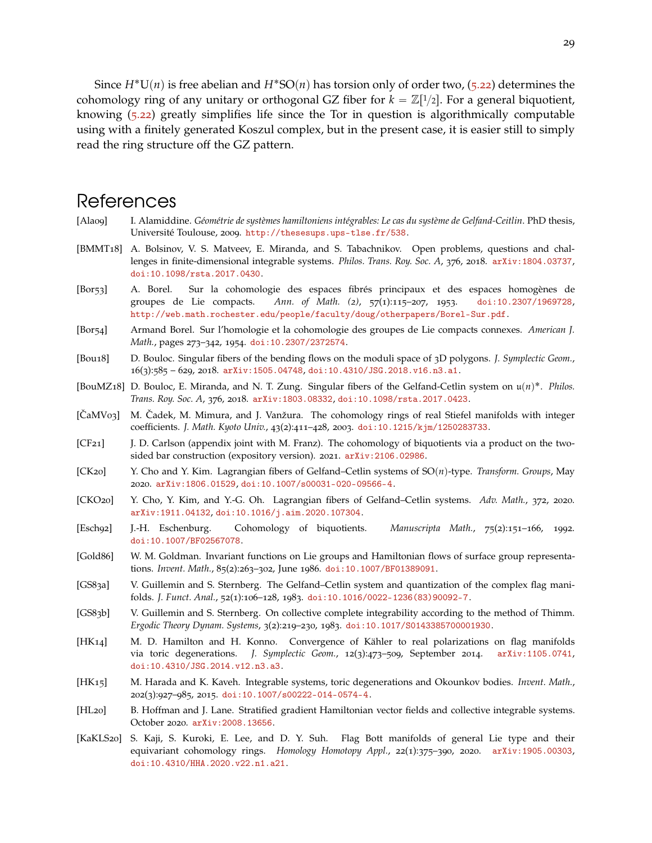Since  $H^*U(n)$  is free abelian and  $H^*SO(n)$  has torsion only of order two, (5.[22](#page-27-1)) determines the cohomology ring of any unitary or orthogonal GZ fiber for  $k = \mathbb{Z}[1/2]$ . For a general biquotient, knowing (5.[22](#page-27-1)) greatly simplifies life since the Tor in question is algorithmically computable using with a finitely generated Koszul complex, but in the present case, it is easier still to simply read the ring structure off the GZ pattern.

### References

- <span id="page-28-10"></span>[Ala09] I. Alamiddine. *Géométrie de systèmes hamiltoniens intégrables: Le cas du système de Gelfand-Ceitlin*. PhD thesis, Université Toulouse, 2009. <http://thesesups.ups-tlse.fr/538>.
- <span id="page-28-3"></span>[BMMT18] A. Bolsinov, V. S. Matveev, E. Miranda, and S. Tabachnikov. Open problems, questions and challenges in finite-dimensional integrable systems. *Philos. Trans. Roy. Soc. A*, 376, 2018. [arXiv:1804.03737](http://arxiv.org/abs/1804.03737), [doi:10.1098/rsta.2017.0430](https://doi.org/10.1098/rsta.2017.0430).
- <span id="page-28-15"></span>[Bor53] A. Borel. Sur la cohomologie des espaces fibrés principaux et des espaces homogènes de groupes de Lie compacts. *Ann. of Math. (2)*, 57(1):115–207, 1953. [doi:10.2307/1969728](https://doi.org/10.2307/1969728), <http://web.math.rochester.edu/people/faculty/doug/otherpapers/Borel-Sur.pdf>.
- <span id="page-28-16"></span>[Bor54] Armand Borel. Sur l'homologie et la cohomologie des groupes de Lie compacts connexes. *American J. Math.*, pages 273–342, 1954. [doi:10.2307/2372574](https://doi.org/10.2307/2372574).
- <span id="page-28-9"></span>[Bou18] D. Bouloc. Singular fibers of the bending flows on the moduli space of 3D polygons. *J. Symplectic Geom.*, 16(3):585 – 629, 2018. [arXiv:1505.04748](http://arxiv.org/abs/1505.04748), [doi:10.4310/JSG.2018.v16.n3.a1](https://doi.org/10.4310/JSG.2018.v16.n3.a1).
- <span id="page-28-5"></span>[BouMZ18] D. Bouloc, E. Miranda, and N. T. Zung. Singular fibers of the Gelfand-Cetlin system on  $u(n)^*$ . *Philos. Trans. Roy. Soc. A*, 376, 2018. [arXiv:1803.08332](http://arxiv.org/abs/1803.08332), [doi:10.1098/rsta.2017.0423](https://doi.org/10.1098/rsta.2017.0423).
- <span id="page-28-13"></span>[CaMV03] M. Cadek, M. Mimura, and J. Vanžura. The cohomology rings of real Stiefel manifolds with integer coefficients. *J. Math. Kyoto Univ.*, 43(2):411–428, 2003. [doi:10.1215/kjm/1250283733](https://doi.org/10.1215/kjm/1250283733).
- <span id="page-28-17"></span>[CF21] J. D. Carlson (appendix joint with M. Franz). The cohomology of biquotients via a product on the twosided bar construction (expository version). 2021. [arXiv:2106.02986](http://arxiv.org/abs/2106.02986).
- <span id="page-28-4"></span> $[CK20]$  Y. Cho and Y. Kim. Lagrangian fibers of Gelfand–Cetlin systems of  $SO(n)$ -type. *Transform. Groups*, May 2020. [arXiv:1806.01529](http://arxiv.org/abs/1806.01529), [doi:10.1007/s00031-020-09566-4](https://doi.org/10.1007/s00031-020-09566-4).
- <span id="page-28-2"></span>[CKO20] Y. Cho, Y. Kim, and Y.-G. Oh. Lagrangian fibers of Gelfand–Cetlin systems. *Adv. Math.*, 372, 2020. [arXiv:1911.04132](http://arxiv.org/abs/1911.04132), [doi:10.1016/j.aim.2020.107304](https://doi.org/10.1016/j.aim.2020.107304).
- <span id="page-28-14"></span>[Esch92] J.-H. Eschenburg. Cohomology of biquotients. *Manuscripta Math.*, 75(2):151–166, 1992. [doi:10.1007/BF02567078](https://doi.org/10.1007/BF02567078).
- <span id="page-28-6"></span>[Gold86] W. M. Goldman. Invariant functions on Lie groups and Hamiltonian flows of surface group representations. *Invent. Math.*, 85(2):263–302, June 1986. [doi:10.1007/BF01389091](https://doi.org/10.1007/BF01389091).
- <span id="page-28-0"></span>[GS83a] V. Guillemin and S. Sternberg. The Gelfand–Cetlin system and quantization of the complex flag manifolds. *J. Funct. Anal.*, 52(1):106–128, 1983. [doi:10.1016/0022-1236\(83\)90092-7](https://doi.org/10.1016/0022-1236(83)90092-7).
- <span id="page-28-11"></span>[GS83b] V. Guillemin and S. Sternberg. On collective complete integrability according to the method of Thimm. *Ergodic Theory Dynam. Systems*, 3(2):219–230, 1983. [doi:10.1017/S0143385700001930](https://doi.org/10.1017/S0143385700001930).
- <span id="page-28-1"></span>[HK14] M. D. Hamilton and H. Konno. Convergence of Kähler to real polarizations on flag manifolds via toric degenerations. *J. Symplectic Geom.*, 12(3):473–509, September 2014. [arXiv:1105.0741](http://arxiv.org/abs/1105.0741), [doi:10.4310/JSG.2014.v12.n3.a3](https://doi.org/10.4310/JSG.2014.v12.n3.a3).
- <span id="page-28-7"></span>[HK15] M. Harada and K. Kaveh. Integrable systems, toric degenerations and Okounkov bodies. *Invent. Math.*, 202(3):927–985, 2015. [doi:10.1007/s00222-014-0574-4](https://doi.org/10.1007/s00222-014-0574-4).
- <span id="page-28-8"></span>[HL20] B. Hoffman and J. Lane. Stratified gradient Hamiltonian vector fields and collective integrable systems. October 2020. [arXiv:2008.13656](http://arxiv.org/abs/2008.13656).
- <span id="page-28-12"></span>[KaKLS20] S. Kaji, S. Kuroki, E. Lee, and D. Y. Suh. Flag Bott manifolds of general Lie type and their equivariant cohomology rings. *Homology Homotopy Appl.*, 22(1):375–390, 2020. [arXiv:1905.00303](http://arxiv.org/abs/1905.00303), [doi:10.4310/HHA.2020.v22.n1.a21](https://doi.org/10.4310/HHA.2020.v22.n1.a21).